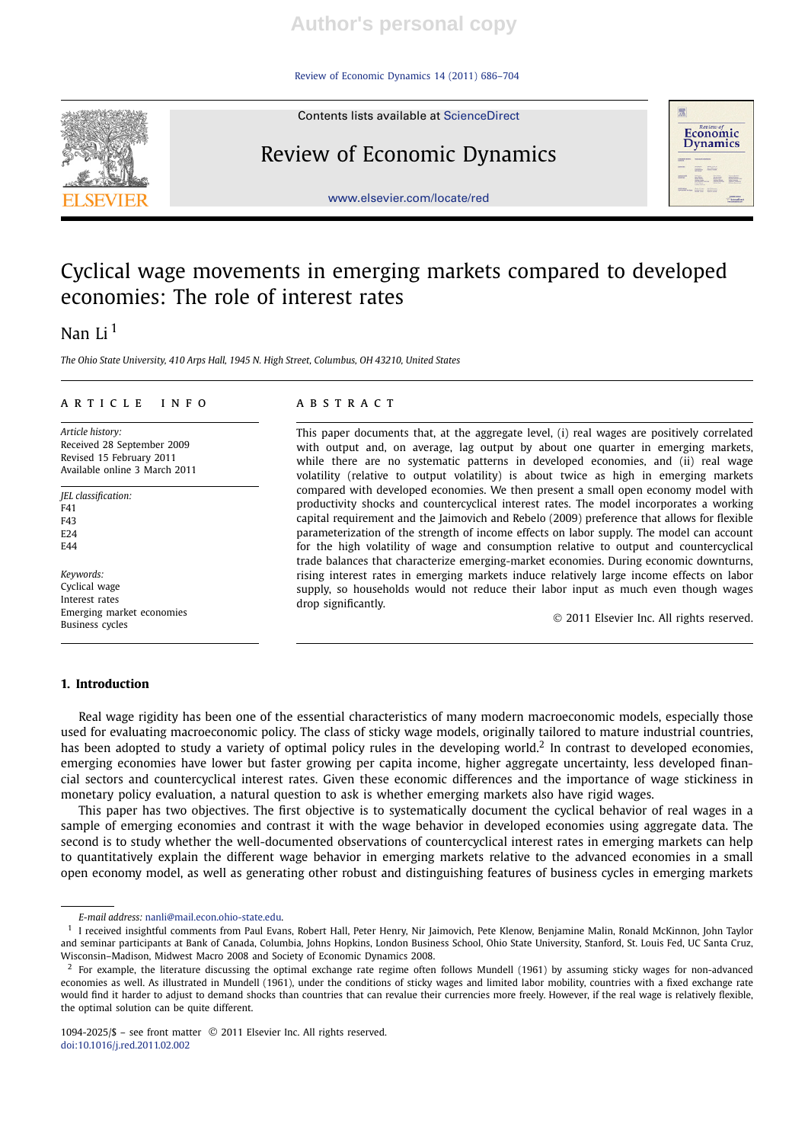

Contents lists available at ScienceDirect

# Review of Economic Dynamics



www.elsevier.com/locate/red

# Cyclical wage movements in emerging markets compared to developed economies: The role of interest rates

### Nan Li<sup>1</sup>

*The Ohio State University, 410 Arps Hall, 1945 N. High Street, Columbus, OH 43210, United States*

#### article info abstract

*Article history:* Received 28 September 2009 Revised 15 February 2011 Available online 3 March 2011

*JEL classification:* F41 F43  $F24$  $FAA$ 

*Keywords:* Cyclical wage Interest rates Emerging market economies Business cycles

This paper documents that, at the aggregate level, (i) real wages are positively correlated with output and, on average, lag output by about one quarter in emerging markets, while there are no systematic patterns in developed economies, and (ii) real wage volatility (relative to output volatility) is about twice as high in emerging markets compared with developed economies. We then present a small open economy model with productivity shocks and countercyclical interest rates. The model incorporates a working capital requirement and the Jaimovich and Rebelo (2009) preference that allows for flexible parameterization of the strength of income effects on labor supply. The model can account for the high volatility of wage and consumption relative to output and countercyclical trade balances that characterize emerging-market economies. During economic downturns, rising interest rates in emerging markets induce relatively large income effects on labor supply, so households would not reduce their labor input as much even though wages drop significantly.

© 2011 Elsevier Inc. All rights reserved.

#### **1. Introduction**

Real wage rigidity has been one of the essential characteristics of many modern macroeconomic models, especially those used for evaluating macroeconomic policy. The class of sticky wage models, originally tailored to mature industrial countries, has been adopted to study a variety of optimal policy rules in the developing world.<sup>2</sup> In contrast to developed economies, emerging economies have lower but faster growing per capita income, higher aggregate uncertainty, less developed financial sectors and countercyclical interest rates. Given these economic differences and the importance of wage stickiness in monetary policy evaluation, a natural question to ask is whether emerging markets also have rigid wages.

This paper has two objectives. The first objective is to systematically document the cyclical behavior of real wages in a sample of emerging economies and contrast it with the wage behavior in developed economies using aggregate data. The second is to study whether the well-documented observations of countercyclical interest rates in emerging markets can help to quantitatively explain the different wage behavior in emerging markets relative to the advanced economies in a small open economy model, as well as generating other robust and distinguishing features of business cycles in emerging markets

*E-mail address:* nanli@mail.econ.ohio-state.edu.

<sup>1</sup> I received insightful comments from Paul Evans, Robert Hall, Peter Henry, Nir Jaimovich, Pete Klenow, Benjamine Malin, Ronald McKinnon, John Taylor and seminar participants at Bank of Canada, Columbia, Johns Hopkins, London Business School, Ohio State University, Stanford, St. Louis Fed, UC Santa Cruz, Wisconsin–Madison, Midwest Macro 2008 and Society of Economic Dynamics 2008.

 $2$  For example, the literature discussing the optimal exchange rate regime often follows Mundell (1961) by assuming sticky wages for non-advanced economies as well. As illustrated in Mundell (1961), under the conditions of sticky wages and limited labor mobility, countries with a fixed exchange rate would find it harder to adjust to demand shocks than countries that can revalue their currencies more freely. However, if the real wage is relatively flexible the optimal solution can be quite different.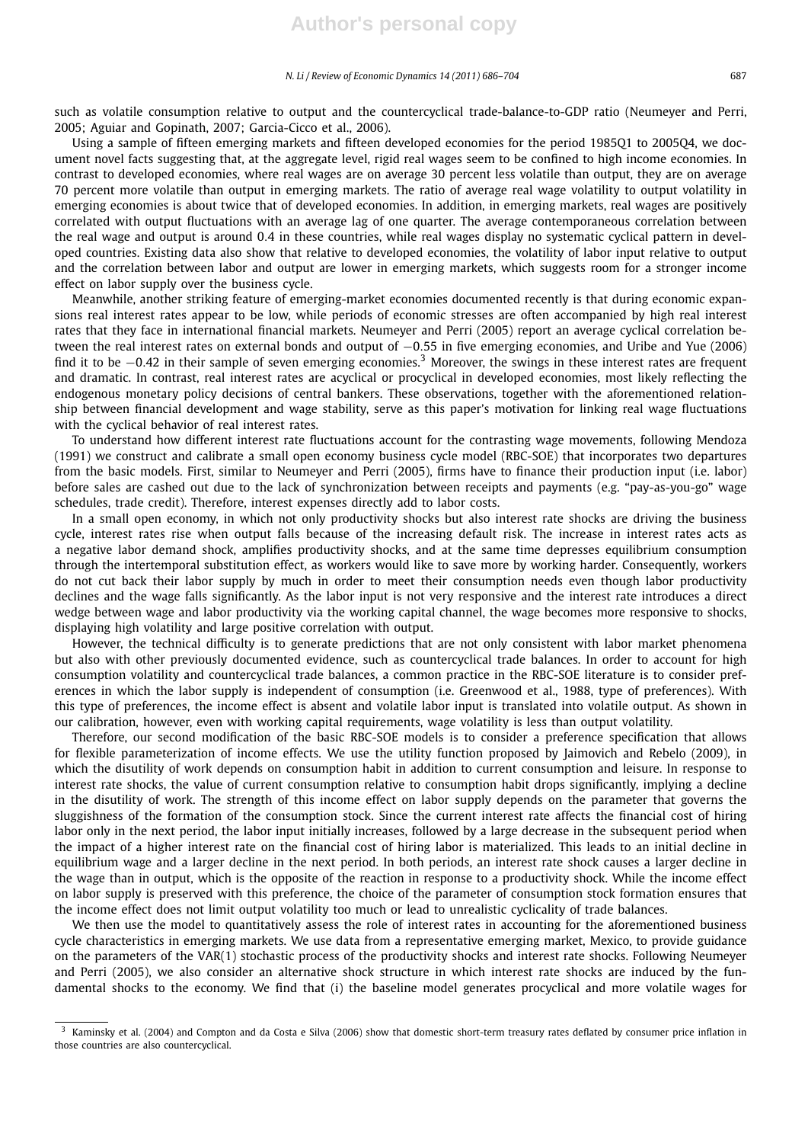such as volatile consumption relative to output and the countercyclical trade-balance-to-GDP ratio (Neumeyer and Perri, 2005; Aguiar and Gopinath, 2007; Garcia-Cicco et al., 2006).

Using a sample of fifteen emerging markets and fifteen developed economies for the period 1985Q1 to 2005Q4, we document novel facts suggesting that, at the aggregate level, rigid real wages seem to be confined to high income economies. In contrast to developed economies, where real wages are on average 30 percent less volatile than output, they are on average 70 percent more volatile than output in emerging markets. The ratio of average real wage volatility to output volatility in emerging economies is about twice that of developed economies. In addition, in emerging markets, real wages are positively correlated with output fluctuations with an average lag of one quarter. The average contemporaneous correlation between the real wage and output is around 0*.*4 in these countries, while real wages display no systematic cyclical pattern in developed countries. Existing data also show that relative to developed economies, the volatility of labor input relative to output and the correlation between labor and output are lower in emerging markets, which suggests room for a stronger income effect on labor supply over the business cycle.

Meanwhile, another striking feature of emerging-market economies documented recently is that during economic expansions real interest rates appear to be low, while periods of economic stresses are often accompanied by high real interest rates that they face in international financial markets. Neumeyer and Perri (2005) report an average cyclical correlation between the real interest rates on external bonds and output of −0*.*55 in five emerging economies, and Uribe and Yue (2006) find it to be −0*.*42 in their sample of seven emerging economies.<sup>3</sup> Moreover, the swings in these interest rates are frequent and dramatic. In contrast, real interest rates are acyclical or procyclical in developed economies, most likely reflecting the endogenous monetary policy decisions of central bankers. These observations, together with the aforementioned relationship between financial development and wage stability, serve as this paper's motivation for linking real wage fluctuations with the cyclical behavior of real interest rates.

To understand how different interest rate fluctuations account for the contrasting wage movements, following Mendoza (1991) we construct and calibrate a small open economy business cycle model (RBC-SOE) that incorporates two departures from the basic models. First, similar to Neumeyer and Perri (2005), firms have to finance their production input (i.e. labor) before sales are cashed out due to the lack of synchronization between receipts and payments (e.g. "pay-as-you-go" wage schedules, trade credit). Therefore, interest expenses directly add to labor costs.

In a small open economy, in which not only productivity shocks but also interest rate shocks are driving the business cycle, interest rates rise when output falls because of the increasing default risk. The increase in interest rates acts as a negative labor demand shock, amplifies productivity shocks, and at the same time depresses equilibrium consumption through the intertemporal substitution effect, as workers would like to save more by working harder. Consequently, workers do not cut back their labor supply by much in order to meet their consumption needs even though labor productivity declines and the wage falls significantly. As the labor input is not very responsive and the interest rate introduces a direct wedge between wage and labor productivity via the working capital channel, the wage becomes more responsive to shocks, displaying high volatility and large positive correlation with output.

However, the technical difficulty is to generate predictions that are not only consistent with labor market phenomena but also with other previously documented evidence, such as countercyclical trade balances. In order to account for high consumption volatility and countercyclical trade balances, a common practice in the RBC-SOE literature is to consider preferences in which the labor supply is independent of consumption (i.e. Greenwood et al., 1988, type of preferences). With this type of preferences, the income effect is absent and volatile labor input is translated into volatile output. As shown in our calibration, however, even with working capital requirements, wage volatility is less than output volatility.

Therefore, our second modification of the basic RBC-SOE models is to consider a preference specification that allows for flexible parameterization of income effects. We use the utility function proposed by Jaimovich and Rebelo (2009), in which the disutility of work depends on consumption habit in addition to current consumption and leisure. In response to interest rate shocks, the value of current consumption relative to consumption habit drops significantly, implying a decline in the disutility of work. The strength of this income effect on labor supply depends on the parameter that governs the sluggishness of the formation of the consumption stock. Since the current interest rate affects the financial cost of hiring labor only in the next period, the labor input initially increases, followed by a large decrease in the subsequent period when the impact of a higher interest rate on the financial cost of hiring labor is materialized. This leads to an initial decline in equilibrium wage and a larger decline in the next period. In both periods, an interest rate shock causes a larger decline in the wage than in output, which is the opposite of the reaction in response to a productivity shock. While the income effect on labor supply is preserved with this preference, the choice of the parameter of consumption stock formation ensures that the income effect does not limit output volatility too much or lead to unrealistic cyclicality of trade balances.

We then use the model to quantitatively assess the role of interest rates in accounting for the aforementioned business cycle characteristics in emerging markets. We use data from a representative emerging market, Mexico, to provide guidance on the parameters of the VAR(1) stochastic process of the productivity shocks and interest rate shocks. Following Neumeyer and Perri (2005), we also consider an alternative shock structure in which interest rate shocks are induced by the fundamental shocks to the economy. We find that (i) the baseline model generates procyclical and more volatile wages for

 $3$  Kaminsky et al. (2004) and Compton and da Costa e Silva (2006) show that domestic short-term treasury rates deflated by consumer price inflation in those countries are also countercyclical.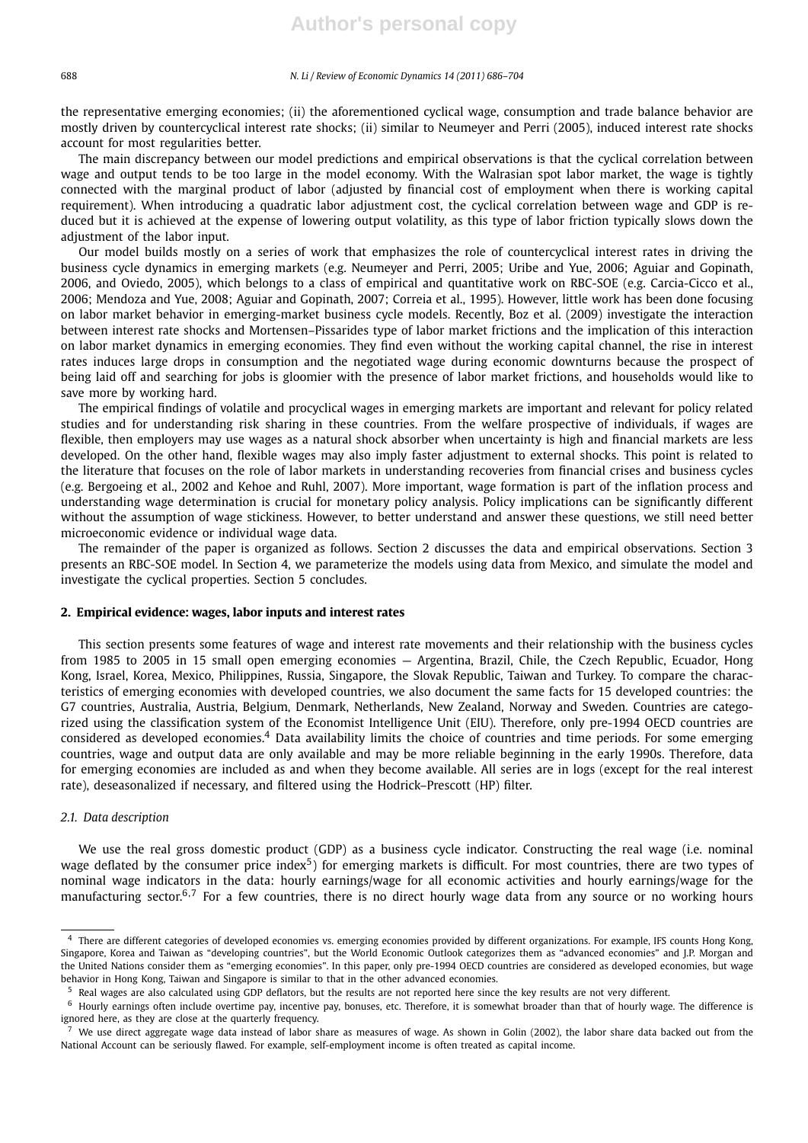the representative emerging economies; (ii) the aforementioned cyclical wage, consumption and trade balance behavior are mostly driven by countercyclical interest rate shocks; (ii) similar to Neumeyer and Perri (2005), induced interest rate shocks account for most regularities better.

The main discrepancy between our model predictions and empirical observations is that the cyclical correlation between wage and output tends to be too large in the model economy. With the Walrasian spot labor market, the wage is tightly connected with the marginal product of labor (adjusted by financial cost of employment when there is working capital requirement). When introducing a quadratic labor adjustment cost, the cyclical correlation between wage and GDP is reduced but it is achieved at the expense of lowering output volatility, as this type of labor friction typically slows down the adjustment of the labor input.

Our model builds mostly on a series of work that emphasizes the role of countercyclical interest rates in driving the business cycle dynamics in emerging markets (e.g. Neumeyer and Perri, 2005; Uribe and Yue, 2006; Aguiar and Gopinath, 2006, and Oviedo, 2005), which belongs to a class of empirical and quantitative work on RBC-SOE (e.g. Carcia-Cicco et al., 2006; Mendoza and Yue, 2008; Aguiar and Gopinath, 2007; Correia et al., 1995). However, little work has been done focusing on labor market behavior in emerging-market business cycle models. Recently, Boz et al. (2009) investigate the interaction between interest rate shocks and Mortensen–Pissarides type of labor market frictions and the implication of this interaction on labor market dynamics in emerging economies. They find even without the working capital channel, the rise in interest rates induces large drops in consumption and the negotiated wage during economic downturns because the prospect of being laid off and searching for jobs is gloomier with the presence of labor market frictions, and households would like to save more by working hard.

The empirical findings of volatile and procyclical wages in emerging markets are important and relevant for policy related studies and for understanding risk sharing in these countries. From the welfare prospective of individuals, if wages are flexible, then employers may use wages as a natural shock absorber when uncertainty is high and financial markets are less developed. On the other hand, flexible wages may also imply faster adjustment to external shocks. This point is related to the literature that focuses on the role of labor markets in understanding recoveries from financial crises and business cycles (e.g. Bergoeing et al., 2002 and Kehoe and Ruhl, 2007). More important, wage formation is part of the inflation process and understanding wage determination is crucial for monetary policy analysis. Policy implications can be significantly different without the assumption of wage stickiness. However, to better understand and answer these questions, we still need better microeconomic evidence or individual wage data.

The remainder of the paper is organized as follows. Section 2 discusses the data and empirical observations. Section 3 presents an RBC-SOE model. In Section 4, we parameterize the models using data from Mexico, and simulate the model and investigate the cyclical properties. Section 5 concludes.

#### **2. Empirical evidence: wages, labor inputs and interest rates**

This section presents some features of wage and interest rate movements and their relationship with the business cycles from 1985 to 2005 in 15 small open emerging economies — Argentina, Brazil, Chile, the Czech Republic, Ecuador, Hong Kong, Israel, Korea, Mexico, Philippines, Russia, Singapore, the Slovak Republic, Taiwan and Turkey. To compare the characteristics of emerging economies with developed countries, we also document the same facts for 15 developed countries: the G7 countries, Australia, Austria, Belgium, Denmark, Netherlands, New Zealand, Norway and Sweden. Countries are categorized using the classification system of the Economist Intelligence Unit (EIU). Therefore, only pre-1994 OECD countries are considered as developed economies.<sup>4</sup> Data availability limits the choice of countries and time periods. For some emerging countries, wage and output data are only available and may be more reliable beginning in the early 1990s. Therefore, data for emerging economies are included as and when they become available. All series are in logs (except for the real interest rate), deseasonalized if necessary, and filtered using the Hodrick–Prescott (HP) filter.

#### *2.1. Data description*

We use the real gross domestic product (GDP) as a business cycle indicator. Constructing the real wage (i.e. nominal wage deflated by the consumer price index<sup>5</sup>) for emerging markets is difficult. For most countries, there are two types of nominal wage indicators in the data: hourly earnings/wage for all economic activities and hourly earnings/wage for the manufacturing sector.<sup>6,7</sup> For a few countries, there is no direct hourly wage data from any source or no working hours

<sup>4</sup> There are different categories of developed economies vs. emerging economies provided by different organizations. For example, IFS counts Hong Kong, Singapore, Korea and Taiwan as "developing countries", but the World Economic Outlook categorizes them as "advanced economies" and J.P. Morgan and the United Nations consider them as "emerging economies". In this paper, only pre-1994 OECD countries are considered as developed economies, but wage behavior in Hong Kong, Taiwan and Singapore is similar to that in the other advanced economies.

<sup>5</sup> Real wages are also calculated using GDP deflators, but the results are not reported here since the key results are not very different.

 $6$  Hourly earnings often include overtime pay, incentive pay, bonuses, etc. Therefore, it is somewhat broader than that of hourly wage. The difference is ignored here, as they are close at the quarterly frequency.

 $<sup>7</sup>$  We use direct aggregate wage data instead of labor share as measures of wage. As shown in Golin (2002), the labor share data backed out from the</sup> National Account can be seriously flawed. For example, self-employment income is often treated as capital income.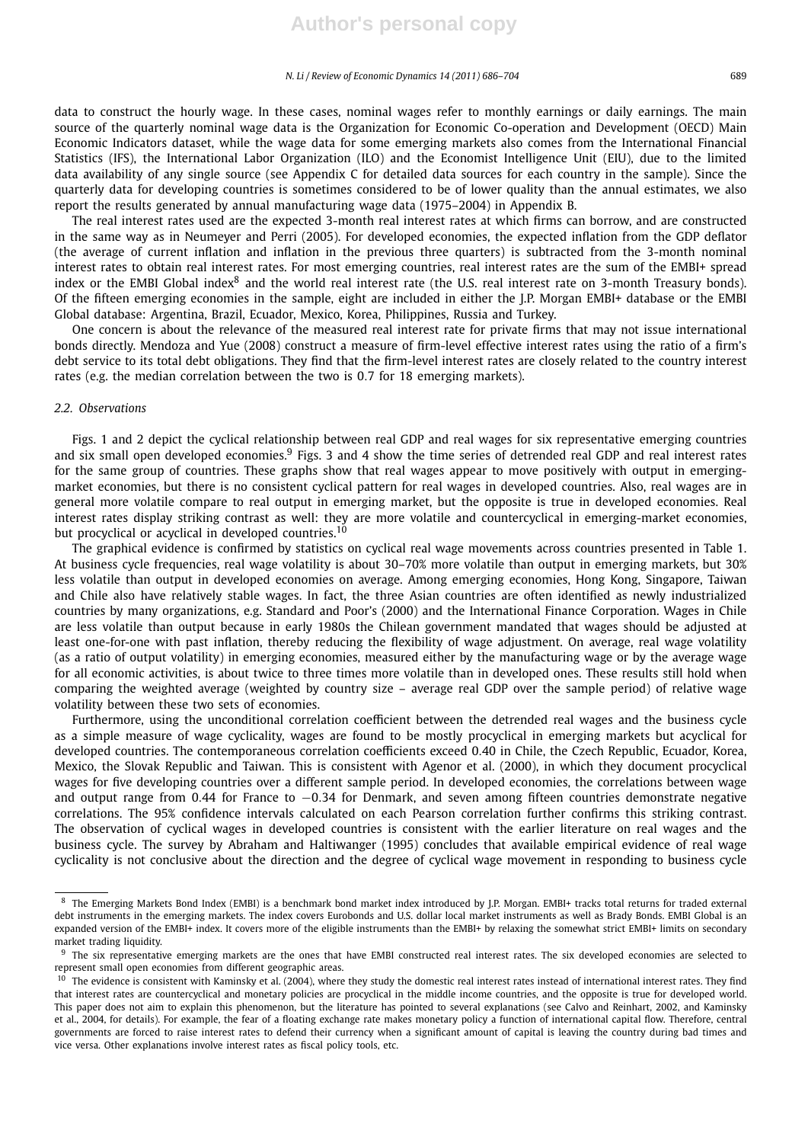data to construct the hourly wage. In these cases, nominal wages refer to monthly earnings or daily earnings. The main source of the quarterly nominal wage data is the Organization for Economic Co-operation and Development (OECD) Main Economic Indicators dataset, while the wage data for some emerging markets also comes from the International Financial Statistics (IFS), the International Labor Organization (ILO) and the Economist Intelligence Unit (EIU), due to the limited data availability of any single source (see Appendix C for detailed data sources for each country in the sample). Since the quarterly data for developing countries is sometimes considered to be of lower quality than the annual estimates, we also report the results generated by annual manufacturing wage data (1975–2004) in Appendix B.

The real interest rates used are the expected 3-month real interest rates at which firms can borrow, and are constructed in the same way as in Neumeyer and Perri (2005). For developed economies, the expected inflation from the GDP deflator (the average of current inflation and inflation in the previous three quarters) is subtracted from the 3-month nominal interest rates to obtain real interest rates. For most emerging countries, real interest rates are the sum of the EMBI+ spread index or the EMBI Global index<sup>8</sup> and the world real interest rate (the U.S. real interest rate on 3-month Treasury bonds). Of the fifteen emerging economies in the sample, eight are included in either the J.P. Morgan EMBI+ database or the EMBI Global database: Argentina, Brazil, Ecuador, Mexico, Korea, Philippines, Russia and Turkey.

One concern is about the relevance of the measured real interest rate for private firms that may not issue international bonds directly. Mendoza and Yue (2008) construct a measure of firm-level effective interest rates using the ratio of a firm's debt service to its total debt obligations. They find that the firm-level interest rates are closely related to the country interest rates (e.g. the median correlation between the two is 0*.*7 for 18 emerging markets).

### *2.2. Observations*

Figs. 1 and 2 depict the cyclical relationship between real GDP and real wages for six representative emerging countries and six small open developed economies.<sup>9</sup> Figs. 3 and 4 show the time series of detrended real GDP and real interest rates for the same group of countries. These graphs show that real wages appear to move positively with output in emergingmarket economies, but there is no consistent cyclical pattern for real wages in developed countries. Also, real wages are in general more volatile compare to real output in emerging market, but the opposite is true in developed economies. Real interest rates display striking contrast as well: they are more volatile and countercyclical in emerging-market economies, but procyclical or acyclical in developed countries.<sup>10</sup>

The graphical evidence is confirmed by statistics on cyclical real wage movements across countries presented in Table 1. At business cycle frequencies, real wage volatility is about 30–70% more volatile than output in emerging markets, but 30% less volatile than output in developed economies on average. Among emerging economies, Hong Kong, Singapore, Taiwan and Chile also have relatively stable wages. In fact, the three Asian countries are often identified as newly industrialized countries by many organizations, e.g. Standard and Poor's (2000) and the International Finance Corporation. Wages in Chile are less volatile than output because in early 1980s the Chilean government mandated that wages should be adjusted at least one-for-one with past inflation, thereby reducing the flexibility of wage adjustment. On average, real wage volatility (as a ratio of output volatility) in emerging economies, measured either by the manufacturing wage or by the average wage for all economic activities, is about twice to three times more volatile than in developed ones. These results still hold when comparing the weighted average (weighted by country size – average real GDP over the sample period) of relative wage volatility between these two sets of economies.

Furthermore, using the unconditional correlation coefficient between the detrended real wages and the business cycle as a simple measure of wage cyclicality, wages are found to be mostly procyclical in emerging markets but acyclical for developed countries. The contemporaneous correlation coefficients exceed 0*.*40 in Chile, the Czech Republic, Ecuador, Korea, Mexico, the Slovak Republic and Taiwan. This is consistent with Agenor et al. (2000), in which they document procyclical wages for five developing countries over a different sample period. In developed economies, the correlations between wage and output range from 0*.*44 for France to −0*.*34 for Denmark, and seven among fifteen countries demonstrate negative correlations. The 95% confidence intervals calculated on each Pearson correlation further confirms this striking contrast. The observation of cyclical wages in developed countries is consistent with the earlier literature on real wages and the business cycle. The survey by Abraham and Haltiwanger (1995) concludes that available empirical evidence of real wage cyclicality is not conclusive about the direction and the degree of cyclical wage movement in responding to business cycle

<sup>8</sup> The Emerging Markets Bond Index (EMBI) is a benchmark bond market index introduced by J.P. Morgan. EMBI+ tracks total returns for traded external debt instruments in the emerging markets. The index covers Eurobonds and U.S. dollar local market instruments as well as Brady Bonds. EMBI Global is an expanded version of the EMBI+ index. It covers more of the eligible instruments than the EMBI+ by relaxing the somewhat strict EMBI+ limits on secondary market trading liquidity.

<sup>&</sup>lt;sup>9</sup> The six representative emerging markets are the ones that have EMBI constructed real interest rates. The six developed economies are selected to represent small open economies from different geographic areas.

 $10$  The evidence is consistent with Kaminsky et al. (2004), where they study the domestic real interest rates instead of international interest rates. They find that interest rates are countercyclical and monetary policies are procyclical in the middle income countries, and the opposite is true for developed world. This paper does not aim to explain this phenomenon, but the literature has pointed to several explanations (see Calvo and Reinhart, 2002, and Kaminsky et al., 2004, for details). For example, the fear of a floating exchange rate makes monetary policy a function of international capital flow. Therefore, central governments are forced to raise interest rates to defend their currency when a significant amount of capital is leaving the country during bad times and vice versa. Other explanations involve interest rates as fiscal policy tools, etc.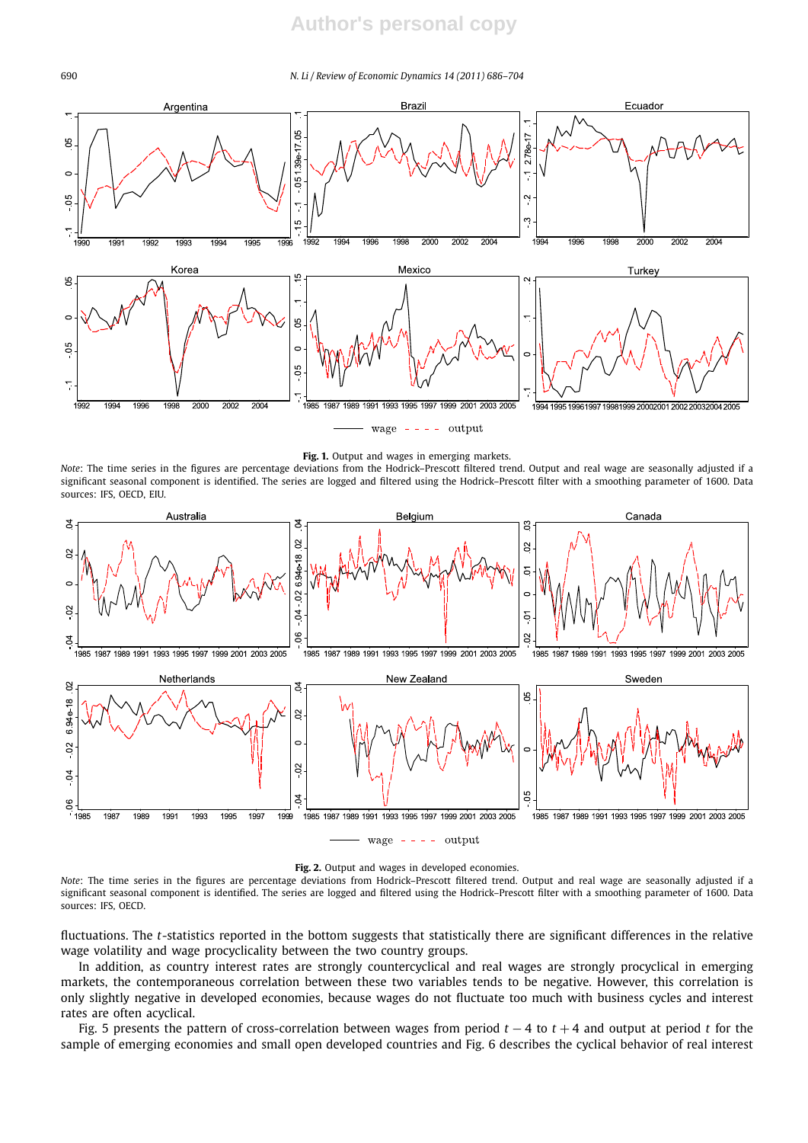690 *N. Li / Review of Economic Dynamics 14 (2011) 686–704*



wage  $\omega_{\rm c} = \omega_{\rm c} = \omega_{\rm c}$ output



*Note*: The time series in the figures are percentage deviations from the Hodrick–Prescott filtered trend. Output and real wage are seasonally adjusted if a significant seasonal component is identified. The series are logged and filtered using the Hodrick–Prescott filter with a smoothing parameter of 1600. Data sources: IFS, OECD, EIU.



**Fig. 2.** Output and wages in developed economies.

*Note*: The time series in the figures are percentage deviations from Hodrick–Prescott filtered trend. Output and real wage are seasonally adjusted if a significant seasonal component is identified. The series are logged and filtered using the Hodrick–Prescott filter with a smoothing parameter of 1600. Data sources: IFS, OECD.

fluctuations. The *t*-statistics reported in the bottom suggests that statistically there are significant differences in the relative wage volatility and wage procyclicality between the two country groups.

In addition, as country interest rates are strongly countercyclical and real wages are strongly procyclical in emerging markets, the contemporaneous correlation between these two variables tends to be negative. However, this correlation is only slightly negative in developed economies, because wages do not fluctuate too much with business cycles and interest rates are often acyclical.

Fig. 5 presents the pattern of cross-correlation between wages from period *t* − 4 to *t* + 4 and output at period *t* for the sample of emerging economies and small open developed countries and Fig. 6 describes the cyclical behavior of real interest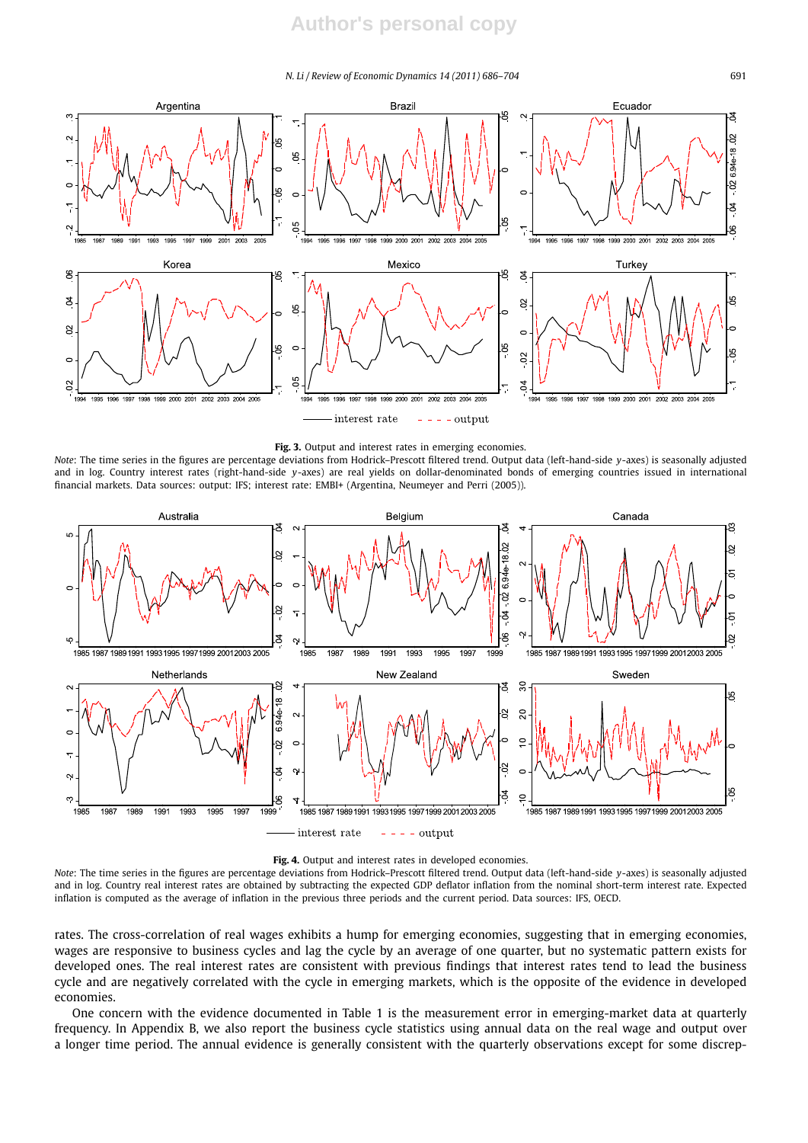*N. Li / Review of Economic Dynamics 14 (2011) 686–704* 691





*Note*: The time series in the figures are percentage deviations from Hodrick–Prescott filtered trend. Output data (left-hand-side *y*-axes) is seasonally adjusted and in log. Country interest rates (right-hand-side *y*-axes) are real yields on dollar-denominated bonds of emerging countries issued in international financial markets. Data sources: output: IFS; interest rate: EMBI+ (Argentina, Neumeyer and Perri (2005)).



**Fig. 4.** Output and interest rates in developed economies.

*Note*: The time series in the figures are percentage deviations from Hodrick–Prescott filtered trend. Output data (left-hand-side *y*-axes) is seasonally adjusted and in log. Country real interest rates are obtained by subtracting the expected GDP deflator inflation from the nominal short-term interest rate. Expected inflation is computed as the average of inflation in the previous three periods and the current period. Data sources: IFS, OECD.

rates. The cross-correlation of real wages exhibits a hump for emerging economies, suggesting that in emerging economies, wages are responsive to business cycles and lag the cycle by an average of one quarter, but no systematic pattern exists for developed ones. The real interest rates are consistent with previous findings that interest rates tend to lead the business cycle and are negatively correlated with the cycle in emerging markets, which is the opposite of the evidence in developed economies.

One concern with the evidence documented in Table 1 is the measurement error in emerging-market data at quarterly frequency. In Appendix B, we also report the business cycle statistics using annual data on the real wage and output over a longer time period. The annual evidence is generally consistent with the quarterly observations except for some discrep-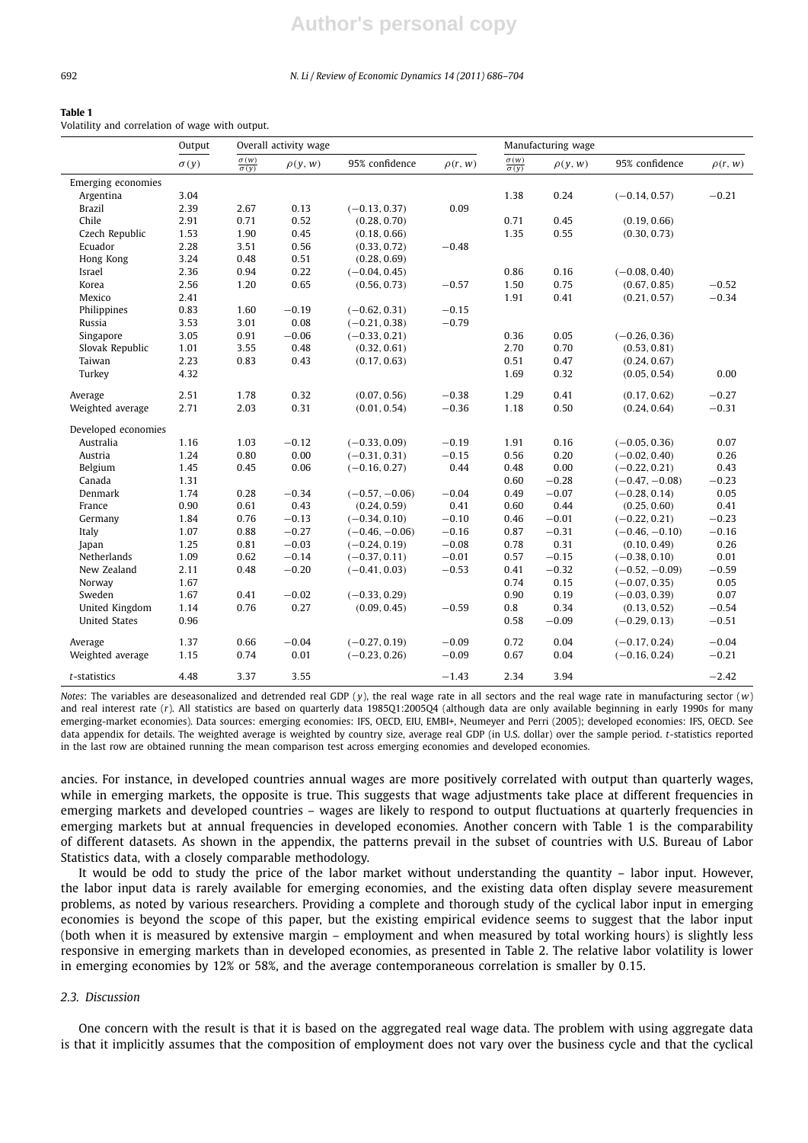#### **Table 1**

Volatility and correlation of wage with output.

|                      | Output      | Overall activity wage         |              |                  |              |                               | Manufacturing wage |                                     |              |  |  |  |
|----------------------|-------------|-------------------------------|--------------|------------------|--------------|-------------------------------|--------------------|-------------------------------------|--------------|--|--|--|
|                      | $\sigma(y)$ | $\frac{\sigma(w)}{\sigma(y)}$ | $\rho(y, w)$ | 95% confidence   | $\rho(r, w)$ | $\frac{\sigma(w)}{\sigma(y)}$ | $\rho(y, w)$       | 95% confidence                      | $\rho(r, w)$ |  |  |  |
| Emerging economies   |             |                               |              |                  |              |                               |                    |                                     |              |  |  |  |
| Argentina            | 3.04        |                               |              |                  |              | 1.38                          | 0.24               | $(-0.14, 0.57)$                     | $-0.21$      |  |  |  |
| <b>Brazil</b>        | 2.39        | 2.67                          | 0.13         | $(-0.13, 0.37)$  | 0.09         |                               |                    |                                     |              |  |  |  |
| Chile                | 2.91        | 0.71                          | 0.52         | (0.28, 0.70)     |              | 0.71                          | 0.45               | (0.19, 0.66)                        |              |  |  |  |
| Czech Republic       | 1.53        | 1.90                          | 0.45         | (0.18, 0.66)     |              | 1.35                          | 0.55               | (0.30, 0.73)                        |              |  |  |  |
| Ecuador              | 2.28        | 3.51                          | 0.56         | (0.33, 0.72)     | $-0.48$      |                               |                    |                                     |              |  |  |  |
| Hong Kong            | 3.24        | 0.48                          | 0.51         | (0.28, 0.69)     |              |                               |                    |                                     |              |  |  |  |
| Israel               | 2.36        | 0.94                          | 0.22         | $(-0.04, 0.45)$  |              | 0.86                          | 0.16               | $(-0.08, 0.40)$                     |              |  |  |  |
| Korea                | 2.56        | 1.20                          | 0.65         | (0.56, 0.73)     | $-0.57$      | 1.50                          | 0.75               | (0.67, 0.85)                        | $-0.52$      |  |  |  |
| Mexico               | 2.41        |                               |              |                  |              | 1.91                          | 0.41               | (0.21, 0.57)                        | $-0.34$      |  |  |  |
| Philippines          | 0.83        | 1.60                          | $-0.19$      | $(-0.62, 0.31)$  | $-0.15$      |                               |                    |                                     |              |  |  |  |
| Russia               | 3.53        | 3.01                          | 0.08         | $(-0.21, 0.38)$  | $-0.79$      |                               |                    |                                     |              |  |  |  |
| Singapore            | 3.05        | 0.91                          | $-0.06$      | $(-0.33, 0.21)$  |              | 0.36                          | 0.05               | $(-0.26, 0.36)$                     |              |  |  |  |
| Slovak Republic      | 1.01        | 3.55                          | 0.48         | (0.32, 0.61)     |              | 2.70                          | 0.70               | (0.53, 0.81)                        |              |  |  |  |
| Taiwan               | 2.23        | 0.83                          | 0.43         | (0.17, 0.63)     |              | 0.51                          | 0.47               | (0.24, 0.67)                        |              |  |  |  |
| Turkey               | 4.32        |                               |              |                  |              | 1.69                          | 0.32               | (0.05, 0.54)                        | 0.00         |  |  |  |
| Average              | 2.51        | 1.78                          | 0.32         | (0.07, 0.56)     | $-0.38$      | 1.29                          | 0.41               | (0.17, 0.62)                        | $-0.27$      |  |  |  |
| Weighted average     | 2.71        | 2.03                          | 0.31         | (0.01, 0.54)     | $-0.36$      | 1.18                          | 0.50               | (0.24, 0.64)                        | $-0.31$      |  |  |  |
| Developed economies  |             |                               |              |                  |              |                               |                    |                                     |              |  |  |  |
| Australia            | 1.16        | 1.03                          | $-0.12$      | $(-0.33, 0.09)$  | $-0.19$      | 1.91                          | 0.16               | $(-0.05, 0.36)$                     | 0.07         |  |  |  |
| Austria              | 1.24        | 0.80                          | 0.00         | $(-0.31, 0.31)$  | $-0.15$      | 0.56                          | 0.20               | $(-0.02, 0.40)$                     | 0.26         |  |  |  |
| Belgium              | 1.45        | 0.45                          | 0.06         | $(-0.16, 0.27)$  | 0.44         | 0.48                          | 0.00               | $(-0.22, 0.21)$                     | 0.43         |  |  |  |
| Canada               | 1.31        |                               |              |                  |              | 0.60                          | $-0.28$            |                                     | $-0.23$      |  |  |  |
| Denmark              | 1.74        | 0.28                          | $-0.34$      | $(-0.57, -0.06)$ | $-0.04$      | 0.49                          | $-0.07$            | $(-0.47, -0.08)$<br>$(-0.28, 0.14)$ | 0.05         |  |  |  |
| France               | 0.90        | 0.61                          | 0.43         | (0.24, 0.59)     | 0.41         | 0.60                          | 0.44               | (0.25, 0.60)                        | 0.41         |  |  |  |
| Germany              | 1.84        | 0.76                          | $-0.13$      | $(-0.34, 0.10)$  | $-0.10$      | 0.46                          | $-0.01$            | $(-0.22, 0.21)$                     | $-0.23$      |  |  |  |
| Italy                | 1.07        | 0.88                          | $-0.27$      | $(-0.46, -0.06)$ | $-0.16$      | 0.87                          | $-0.31$            | $(-0.46, -0.10)$                    | $-0.16$      |  |  |  |
| Japan                | 1.25        | 0.81                          | $-0.03$      | $(-0.24, 0.19)$  | $-0.08$      | 0.78                          | 0.31               | (0.10, 0.49)                        | 0.26         |  |  |  |
| Netherlands          | 1.09        | 0.62                          | $-0.14$      | $(-0.37, 0.11)$  | $-0.01$      | 0.57                          | $-0.15$            | $(-0.38, 0.10)$                     | 0.01         |  |  |  |
| New Zealand          | 2.11        | 0.48                          | $-0.20$      | $(-0.41, 0.03)$  | $-0.53$      | 0.41                          | $-0.32$            | $(-0.52, -0.09)$                    | $-0.59$      |  |  |  |
|                      | 1.67        |                               |              |                  |              | 0.74                          | 0.15               | $(-0.07, 0.35)$                     | 0.05         |  |  |  |
| Norway<br>Sweden     | 1.67        | 0.41                          | $-0.02$      | $(-0.33, 0.29)$  |              | 0.90                          | 0.19               | $(-0.03, 0.39)$                     | 0.07         |  |  |  |
| United Kingdom       | 1.14        | 0.76                          | 0.27         | (0.09, 0.45)     | $-0.59$      | 0.8                           | 0.34               | (0.13, 0.52)                        | $-0.54$      |  |  |  |
| <b>United States</b> | 0.96        |                               |              |                  |              | 0.58                          | $-0.09$            | $(-0.29, 0.13)$                     | $-0.51$      |  |  |  |
|                      |             |                               |              |                  |              |                               |                    |                                     |              |  |  |  |
| Average              | 1.37        | 0.66                          | $-0.04$      | $(-0.27, 0.19)$  | $-0.09$      | 0.72                          | 0.04               | $(-0.17, 0.24)$                     | $-0.04$      |  |  |  |
| Weighted average     | 1.15        | 0.74                          | 0.01         | $(-0.23, 0.26)$  | $-0.09$      | 0.67                          | 0.04               | $(-0.16, 0.24)$                     | $-0.21$      |  |  |  |
| t-statistics         | 4.48        | 3.37                          | 3.55         |                  | $-1.43$      | 2.34                          | 3.94               |                                     | $-2.42$      |  |  |  |

*Notes*: The variables are deseasonalized and detrended real GDP  $(y)$ , the real wage rate in all sectors and the real wage rate in manufacturing sector  $(w)$ and real interest rate (*r*). All statistics are based on quarterly data 1985Q1:2005Q4 (although data are only available beginning in early 1990s for many emerging-market economies). Data sources: emerging economies: IFS, OECD, EIU, EMBI+, Neumeyer and Perri (2005); developed economies: IFS, OECD. See data appendix for details. The weighted average is weighted by country size, average real GDP (in U.S. dollar) over the sample period. *t*-statistics reported in the last row are obtained running the mean comparison test across emerging economies and developed economies.

ancies. For instance, in developed countries annual wages are more positively correlated with output than quarterly wages, while in emerging markets, the opposite is true. This suggests that wage adjustments take place at different frequencies in emerging markets and developed countries – wages are likely to respond to output fluctuations at quarterly frequencies in emerging markets but at annual frequencies in developed economies. Another concern with Table 1 is the comparability of different datasets. As shown in the appendix, the patterns prevail in the subset of countries with U.S. Bureau of Labor Statistics data, with a closely comparable methodology.

It would be odd to study the price of the labor market without understanding the quantity – labor input. However, the labor input data is rarely available for emerging economies, and the existing data often display severe measurement problems, as noted by various researchers. Providing a complete and thorough study of the cyclical labor input in emerging economies is beyond the scope of this paper, but the existing empirical evidence seems to suggest that the labor input (both when it is measured by extensive margin – employment and when measured by total working hours) is slightly less responsive in emerging markets than in developed economies, as presented in Table 2. The relative labor volatility is lower in emerging economies by 12% or 58%, and the average contemporaneous correlation is smaller by 0*.*15.

#### *2.3. Discussion*

One concern with the result is that it is based on the aggregated real wage data. The problem with using aggregate data is that it implicitly assumes that the composition of employment does not vary over the business cycle and that the cyclical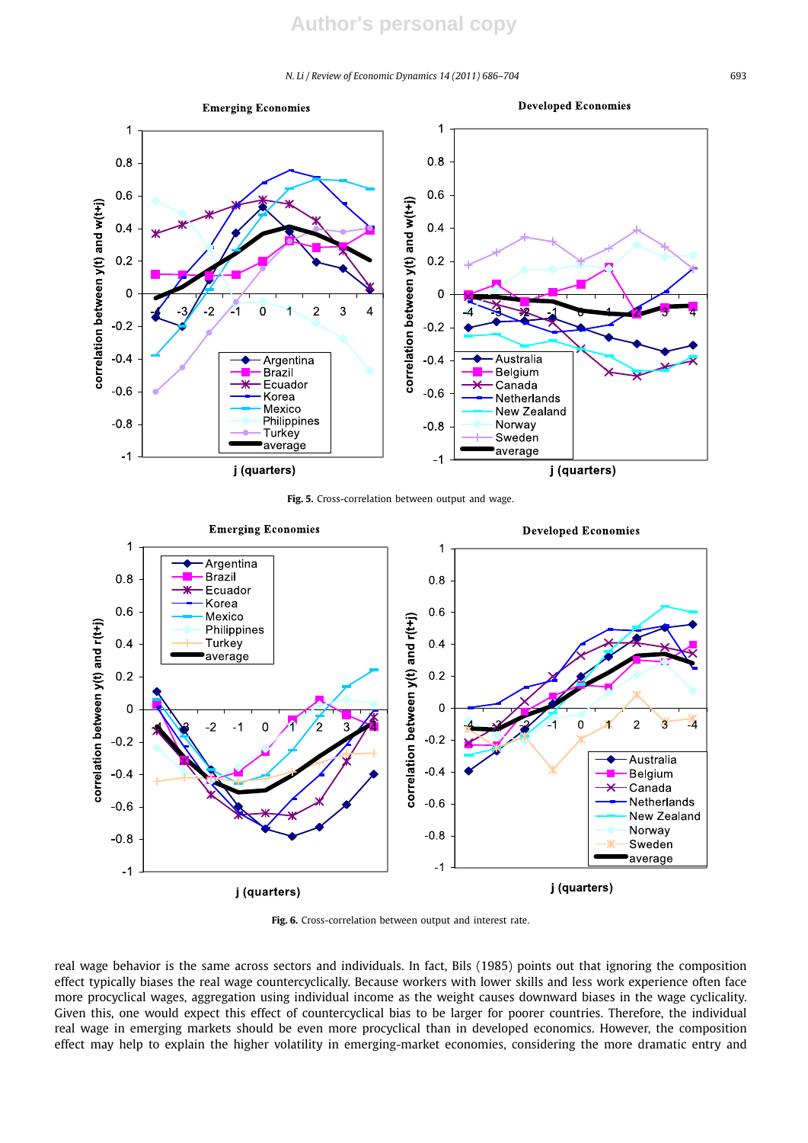



**Fig. 6.** Cross-correlation between output and interest rate.

real wage behavior is the same across sectors and individuals. In fact, Bils (1985) points out that ignoring the composition effect typically biases the real wage countercyclically. Because workers with lower skills and less work experience often face more procyclical wages, aggregation using individual income as the weight causes downward biases in the wage cyclicality. Given this, one would expect this effect of countercyclical bias to be larger for poorer countries. Therefore, the individual real wage in emerging markets should be even more procyclical than in developed economics. However, the composition effect may help to explain the higher volatility in emerging-market economies, considering the more dramatic entry and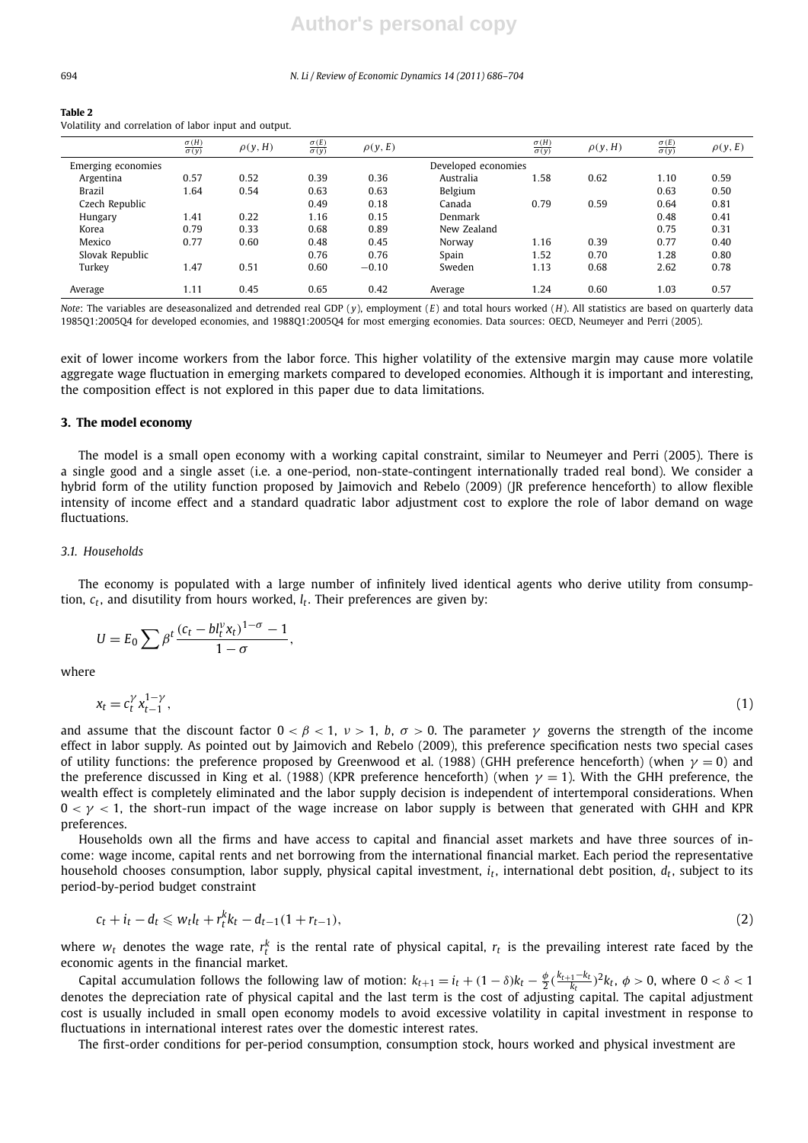#### 694 *N. Li / Review of Economic Dynamics 14 (2011) 686–704*

| Table 2 |                                                       |  |  |
|---------|-------------------------------------------------------|--|--|
|         | Volatility and correlation of labor input and output. |  |  |

|                    | $\frac{\sigma(H)}{\sigma(y)}$ | $\rho(y, H)$ | $\frac{\sigma(E)}{\sigma(y)}$ | $\rho(y, E)$ |                     | $\frac{\sigma(H)}{\sigma(y)}$ | $\rho(y, H)$ | $\frac{\sigma(E)}{\sigma(y)}$ | $\rho(y, E)$ |  |
|--------------------|-------------------------------|--------------|-------------------------------|--------------|---------------------|-------------------------------|--------------|-------------------------------|--------------|--|
| Emerging economies |                               |              |                               |              | Developed economies |                               |              |                               |              |  |
| Argentina          | 0.57                          | 0.52         | 0.39                          | 0.36         | Australia           | 1.58                          | 0.62         | 1.10                          | 0.59         |  |
| Brazil             | 1.64                          | 0.54         | 0.63                          | 0.63         | Belgium             |                               |              | 0.63                          | 0.50         |  |
| Czech Republic     |                               |              | 0.49                          | 0.18         | Canada              | 0.79                          | 0.59         | 0.64                          | 0.81         |  |
| Hungary            | 1.41                          | 0.22         | 1.16                          | 0.15         | Denmark             |                               |              | 0.48                          | 0.41         |  |
| Korea              | 0.79                          | 0.33         | 0.68                          | 0.89         | New Zealand         |                               |              | 0.75                          | 0.31         |  |
| Mexico             | 0.77                          | 0.60         | 0.48                          | 0.45         | Norway              | 1.16                          | 0.39         | 0.77                          | 0.40         |  |
| Slovak Republic    |                               |              | 0.76                          | 0.76         | Spain               | 1.52                          | 0.70         | 1.28                          | 0.80         |  |
| Turkey             | 1.47                          | 0.51         | 0.60                          | $-0.10$      | Sweden              | 1.13                          | 0.68         | 2.62                          | 0.78         |  |
| Average            | 1.11                          | 0.45         | 0.65                          | 0.42         | Average             | 1.24                          | 0.60         | 1.03                          | 0.57         |  |

*Note*: The variables are deseasonalized and detrended real GDP (*y*), employment (*E*) and total hours worked (*H*). All statistics are based on quarterly data 1985Q1:2005Q4 for developed economies, and 1988Q1:2005Q4 for most emerging economies. Data sources: OECD, Neumeyer and Perri (2005).

exit of lower income workers from the labor force. This higher volatility of the extensive margin may cause more volatile aggregate wage fluctuation in emerging markets compared to developed economies. Although it is important and interesting, the composition effect is not explored in this paper due to data limitations.

#### **3. The model economy**

The model is a small open economy with a working capital constraint, similar to Neumeyer and Perri (2005). There is a single good and a single asset (i.e. a one-period, non-state-contingent internationally traded real bond). We consider a hybrid form of the utility function proposed by Jaimovich and Rebelo (2009) (JR preference henceforth) to allow flexible intensity of income effect and a standard quadratic labor adjustment cost to explore the role of labor demand on wage fluctuations.

#### *3.1. Households*

The economy is populated with a large number of infinitely lived identical agents who derive utility from consumption,  $c_t$ , and disutility from hours worked,  $l_t$ . Their preferences are given by:

$$
U = E_0 \sum \beta^t \frac{(c_t - bl_t^{\nu} x_t)^{1-\sigma} - 1}{1-\sigma},
$$

where

$$
x_t = c_t^{\gamma} x_{t-1}^{1-\gamma},\tag{1}
$$

and assume that the discount factor  $0 < \beta < 1$ ,  $\nu > 1$ ,  $b$ ,  $\sigma > 0$ . The parameter  $\gamma$  governs the strength of the income effect in labor supply. As pointed out by Jaimovich and Rebelo (2009), this preference specification nests two special cases of utility functions: the preference proposed by Greenwood et al. (1988) (GHH preference henceforth) (when *γ* = 0) and the preference discussed in King et al. (1988) (KPR preference henceforth) (when  $\gamma = 1$ ). With the GHH preference, the wealth effect is completely eliminated and the labor supply decision is independent of intertemporal considerations. When 0 *< γ <* 1, the short-run impact of the wage increase on labor supply is between that generated with GHH and KPR preferences.

Households own all the firms and have access to capital and financial asset markets and have three sources of income: wage income, capital rents and net borrowing from the international financial market. Each period the representative household chooses consumption, labor supply, physical capital investment, *it*, international debt position, *dt*, subject to its period-by-period budget constraint

$$
c_t + i_t - d_t \leqslant w_t l_t + r_t^k k_t - d_{t-1}(1 + r_{t-1}),
$$
\n(2)

where  $w_t$  denotes the wage rate,  $r_t^k$  is the rental rate of physical capital,  $r_t$  is the prevailing interest rate faced by the economic agents in the financial market.

Capital accumulation follows the following law of motion:  $k_{t+1}=i_t+(1-\delta)k_t-\frac{\phi}{2}(\frac{k_{t+1}-k_t}{k_t})^2k_t$ ,  $\phi>0$ , where  $0<\delta<1$ denotes the depreciation rate of physical capital and the last term is the cost of adjusting capital. The capital adjustment cost is usually included in small open economy models to avoid excessive volatility in capital investment in response to fluctuations in international interest rates over the domestic interest rates.

The first-order conditions for per-period consumption, consumption stock, hours worked and physical investment are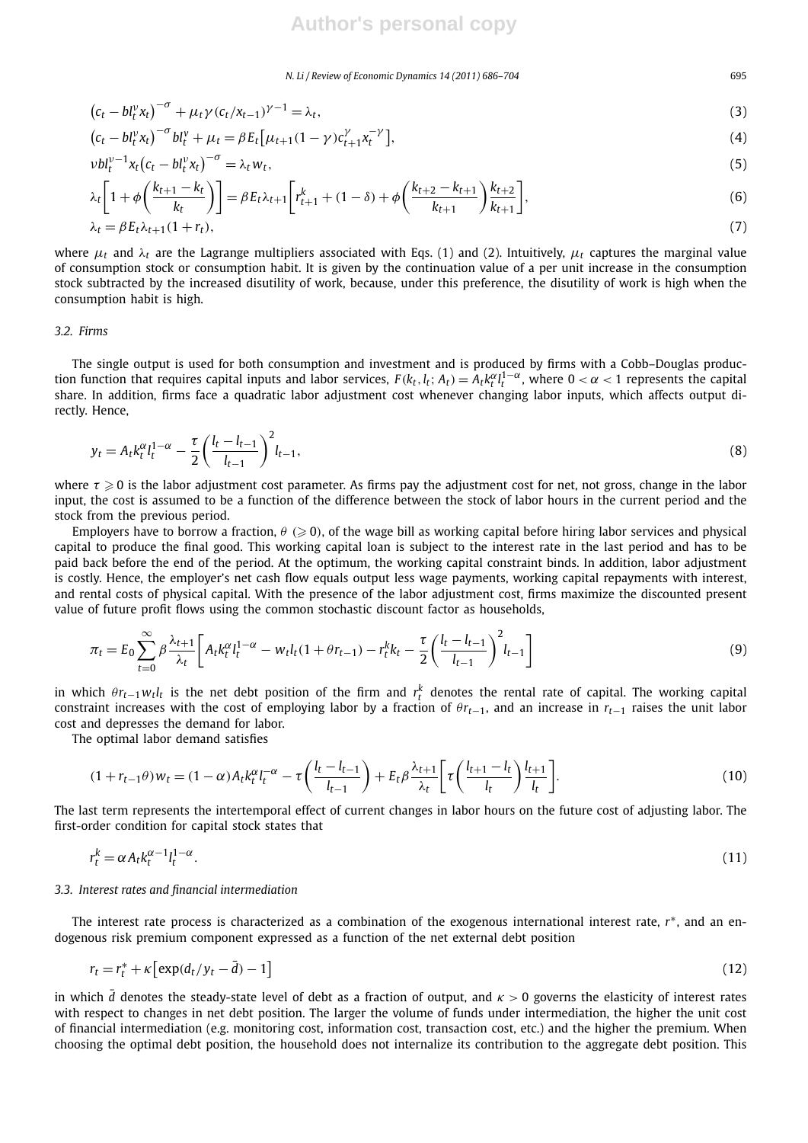*N. Li / Review of Economic Dynamics 14 (2011) 686–704* 695

$$
\left(c_t - bl_t^{\nu} x_t\right)^{-\sigma} + \mu_t \gamma \left(c_t / x_{t-1}\right)^{\gamma - 1} = \lambda_t,\tag{3}
$$

$$
(c_t - bl_t^{\nu} x_t)^{-\sigma} bl_t^{\nu} + \mu_t = \beta E_t [\mu_{t+1} (1 - \gamma) c_{t+1}^{\gamma} x_t^{-\gamma}], \tag{4}
$$

$$
\nu b l_t^{\nu-1} x_t (c_t - b l_t^{\nu} x_t)^{-\sigma} = \lambda_t w_t,
$$
\n<sup>(5)</sup>

$$
\lambda_t \left[ 1 + \phi \left( \frac{k_{t+1} - k_t}{k_t} \right) \right] = \beta E_t \lambda_{t+1} \left[ r_{t+1}^k + (1 - \delta) + \phi \left( \frac{k_{t+2} - k_{t+1}}{k_{t+1}} \right) \frac{k_{t+2}}{k_{t+1}} \right],\tag{6}
$$

$$
\lambda_t = \beta E_t \lambda_{t+1} (1 + r_t),\tag{7}
$$

where  $\mu_t$  and  $\lambda_t$  are the Lagrange multipliers associated with Eqs. (1) and (2). Intuitively,  $\mu_t$  captures the marginal value of consumption stock or consumption habit. It is given by the continuation value of a per unit increase in the consumption stock subtracted by the increased disutility of work, because, under this preference, the disutility of work is high when the consumption habit is high.

#### *3.2. Firms*

The single output is used for both consumption and investment and is produced by firms with a Cobb–Douglas production function that requires capital inputs and labor services,  $F(k_t,l_t;A_t)=A_t k_t^{\alpha}l_t^{1-\alpha}$ , where  $0<\alpha<1$  represents the capital share. In addition, firms face a quadratic labor adjustment cost whenever changing labor inputs, which affects output directly. Hence,

$$
y_t = A_t k_t^{\alpha} l_t^{1-\alpha} - \frac{\tau}{2} \left( \frac{l_t - l_{t-1}}{l_{t-1}} \right)^2 l_{t-1},
$$
\n(8)

where  $\tau \geq 0$  is the labor adjustment cost parameter. As firms pay the adjustment cost for net, not gross, change in the labor input, the cost is assumed to be a function of the difference between the stock of labor hours in the current period and the stock from the previous period.

Employers have to borrow a fraction,  $\theta \geqslant 0$ , of the wage bill as working capital before hiring labor services and physical capital to produce the final good. This working capital loan is subject to the interest rate in the last period and has to be paid back before the end of the period. At the optimum, the working capital constraint binds. In addition, labor adjustment is costly. Hence, the employer's net cash flow equals output less wage payments, working capital repayments with interest, and rental costs of physical capital. With the presence of the labor adjustment cost, firms maximize the discounted present value of future profit flows using the common stochastic discount factor as households,

$$
\pi_t = E_0 \sum_{t=0}^{\infty} \beta \frac{\lambda_{t+1}}{\lambda_t} \bigg[ A_t k_t^{\alpha} l_t^{1-\alpha} - w_t l_t (1 + \theta r_{t-1}) - r_t^k k_t - \frac{\tau}{2} \bigg( \frac{l_t - l_{t-1}}{l_{t-1}} \bigg)^2 l_{t-1} \bigg]
$$
(9)

in which  $\theta r_{t-1} w_t l_t$  is the net debt position of the firm and  $r_t^k$  denotes the rental rate of capital. The working capital constraint increases with the cost of employing labor by a fraction of  $\theta r_{t-1}$ , and an increase in  $r_{t-1}$  raises the unit labor cost and depresses the demand for labor.

The optimal labor demand satisfies

$$
(1+r_{t-1}\theta)w_t = (1-\alpha)A_t k_t^{\alpha} l_t^{-\alpha} - \tau \left(\frac{l_t - l_{t-1}}{l_{t-1}}\right) + E_t \beta \frac{\lambda_{t+1}}{\lambda_t} \left[\tau \left(\frac{l_{t+1} - l_t}{l_t}\right) \frac{l_{t+1}}{l_t}\right].
$$
\n
$$
(10)
$$

The last term represents the intertemporal effect of current changes in labor hours on the future cost of adjusting labor. The first-order condition for capital stock states that

$$
r_t^k = \alpha A_t k_t^{\alpha - 1} l_t^{1 - \alpha}.
$$
\n<sup>(11)</sup>

#### *3.3. Interest rates and financial intermediation*

The interest rate process is characterized as a combination of the exogenous international interest rate, *r*∗, and an endogenous risk premium component expressed as a function of the net external debt position

$$
r_t = r_t^* + \kappa \left[ \exp(d_t / y_t - \bar{d}) - 1 \right] \tag{12}
$$

in which *d* denotes the steady-state level of debt as a fraction of output, and  $\kappa > 0$  governs the elasticity of interest rates with respect to changes in net debt position. The larger the volume of funds under intermediation, the higher the unit cost of financial intermediation (e.g. monitoring cost, information cost, transaction cost, etc.) and the higher the premium. When choosing the optimal debt position, the household does not internalize its contribution to the aggregate debt position. This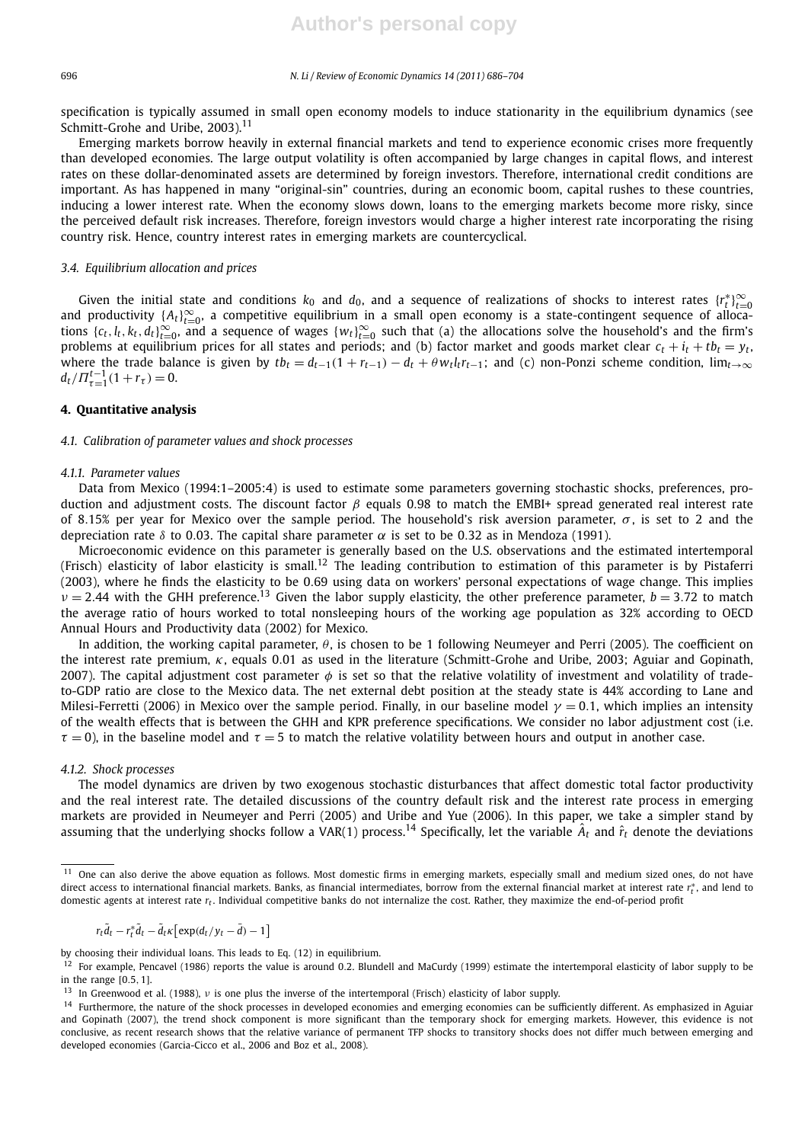specification is typically assumed in small open economy models to induce stationarity in the equilibrium dynamics (see Schmitt-Grohe and Uribe, 2003).<sup>11</sup>

Emerging markets borrow heavily in external financial markets and tend to experience economic crises more frequently than developed economies. The large output volatility is often accompanied by large changes in capital flows, and interest rates on these dollar-denominated assets are determined by foreign investors. Therefore, international credit conditions are important. As has happened in many "original-sin" countries, during an economic boom, capital rushes to these countries, inducing a lower interest rate. When the economy slows down, loans to the emerging markets become more risky, since the perceived default risk increases. Therefore, foreign investors would charge a higher interest rate incorporating the rising country risk. Hence, country interest rates in emerging markets are countercyclical.

#### *3.4. Equilibrium allocation and prices*

Given the initial state and conditions  $k_0$  and  $d_0$ , and a sequence of realizations of shocks to interest rates  $\{r_t^*\}_{t=0}^\infty$ and productivity  $\{A_t\}_{t=0}^{\infty}$ , a competitive equilibrium in a small open economy is a state-contingent sequence of allocations  $\{c_t, l_t, k_t, d_t\}_{t=0}^{\infty}$ , and a sequence of wages  $\{w_t\}_{t=0}^{\infty}$  such that (a) the allocations solve the household's and the firm's problems at equilibrium prices for all states and periods; and (b) factor market and goods market clear  $c_t + i_t + t b_t = y_t$ , where the trade balance is given by  $tb_t = d_{t-1}(1 + r_{t-1}) - d_t + \theta w_t l_t r_{t-1}$ ; and (c) non-Ponzi scheme condition,  $\lim_{t\to\infty}$  $d_t / \prod_{\tau=1}^{t-1} (1 + r_\tau) = 0.$ 

### **4. Quantitative analysis**

#### *4.1. Calibration of parameter values and shock processes*

#### *4.1.1. Parameter values*

Data from Mexico (1994:1–2005:4) is used to estimate some parameters governing stochastic shocks, preferences, production and adjustment costs. The discount factor *β* equals 0*.*98 to match the EMBI+ spread generated real interest rate of 8*.*15% per year for Mexico over the sample period. The household's risk aversion parameter, *σ* , is set to 2 and the depreciation rate *δ* to 0*.*03. The capital share parameter *α* is set to be 0*.*32 as in Mendoza (1991).

Microeconomic evidence on this parameter is generally based on the U.S. observations and the estimated intertemporal (Frisch) elasticity of labor elasticity is small.<sup>12</sup> The leading contribution to estimation of this parameter is by Pistaferri (2003), where he finds the elasticity to be 0*.*69 using data on workers' personal expectations of wage change. This implies  $\nu$  = 2.44 with the GHH preference.<sup>13</sup> Given the labor supply elasticity, the other preference parameter, *b* = 3.72 to match the average ratio of hours worked to total nonsleeping hours of the working age population as 32% according to OECD Annual Hours and Productivity data (2002) for Mexico.

In addition, the working capital parameter, *θ* , is chosen to be 1 following Neumeyer and Perri (2005). The coefficient on the interest rate premium, *κ*, equals 0*.*01 as used in the literature (Schmitt-Grohe and Uribe, 2003; Aguiar and Gopinath, 2007). The capital adjustment cost parameter *φ* is set so that the relative volatility of investment and volatility of tradeto-GDP ratio are close to the Mexico data. The net external debt position at the steady state is 44% according to Lane and Milesi-Ferretti (2006) in Mexico over the sample period. Finally, in our baseline model  $\gamma = 0.1$ , which implies an intensity of the wealth effects that is between the GHH and KPR preference specifications. We consider no labor adjustment cost (i.e.  $\tau = 0$ ), in the baseline model and  $\tau = 5$  to match the relative volatility between hours and output in another case.

#### *4.1.2. Shock processes*

The model dynamics are driven by two exogenous stochastic disturbances that affect domestic total factor productivity and the real interest rate. The detailed discussions of the country default risk and the interest rate process in emerging markets are provided in Neumeyer and Perri (2005) and Uribe and Yue (2006). In this paper, we take a simpler stand by assuming that the underlying shocks follow a VAR(1) process.<sup>14</sup> Specifically, let the variable  $\hat{A}_t$  and  $\hat{r}_t$  denote the deviations

$$
r_t\tilde{d}_t - r_t^*\tilde{d}_t - \tilde{d}_t\kappa \left[\exp(d_t/y_t - \bar{d}) - 1\right]
$$

by choosing their individual loans. This leads to Eq. (12) in equilibrium.<br>12. For example, Banaxial (1986) reports the value is around 0.2. Plune

<sup>&</sup>lt;sup>11</sup> One can also derive the above equation as follows. Most domestic firms in emerging markets, especially small and medium sized ones, do not have direct access to international financial markets. Banks, as financial intermediates, borrow from the external financial market at interest rate *r*<sup>∗</sup> *<sup>t</sup>* , and lend to domestic agents at interest rate  $r_t$ . Individual competitive banks do not internalize the cost. Rather, they maximize the end-of-period profit

<sup>12</sup> For example, Pencavel (1986) reports the value is around 0*.*2. Blundell and MaCurdy (1999) estimate the intertemporal elasticity of labor supply to be in the range [0*.*5*,* 1].

<sup>&</sup>lt;sup>13</sup> In Greenwood et al. (1988), *ν* is one plus the inverse of the intertemporal (Frisch) elasticity of labor supply.

 $14$  Furthermore, the nature of the shock processes in developed economies and emerging economies can be sufficiently different. As emphasized in Aguiar and Gopinath (2007), the trend shock component is more significant than the temporary shock for emerging markets. However, this evidence is not conclusive, as recent research shows that the relative variance of permanent TFP shocks to transitory shocks does not differ much between emerging and developed economies (Garcia-Cicco et al., 2006 and Boz et al., 2008).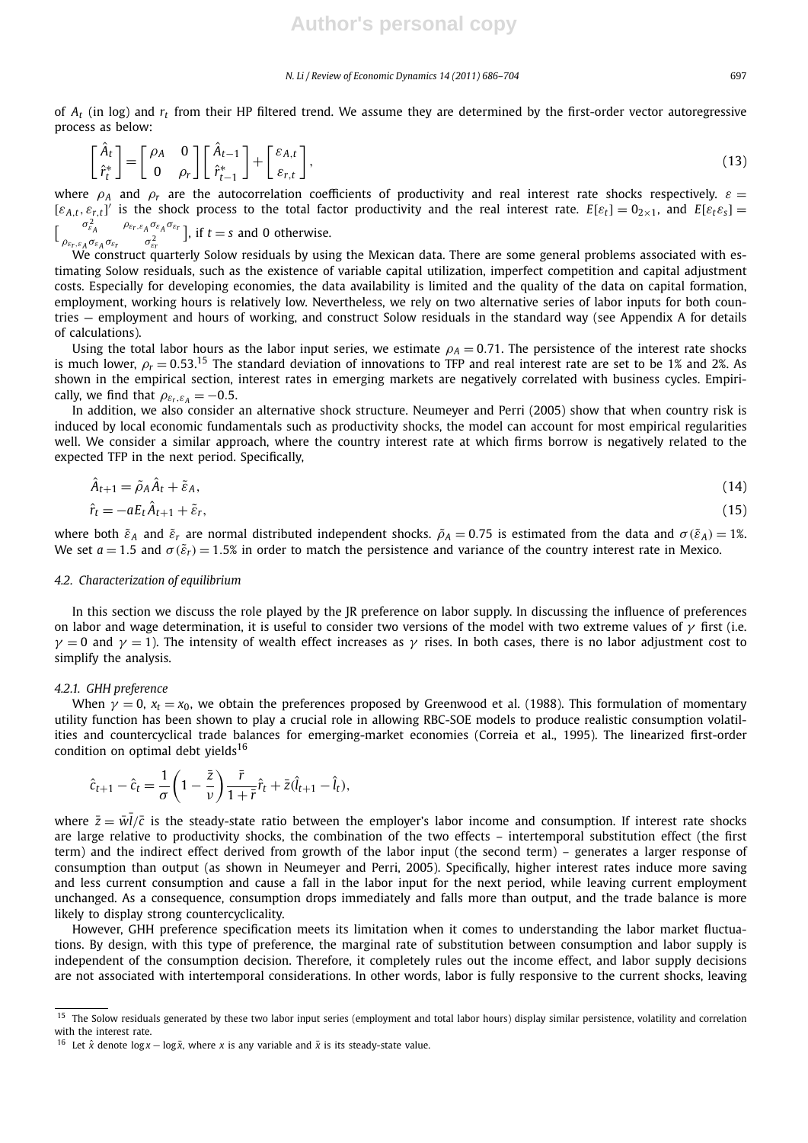of *At* (in log) and *rt* from their HP filtered trend. We assume they are determined by the first-order vector autoregressive process as below:

$$
\begin{bmatrix} \hat{A}_t \\ \hat{r}_t^* \end{bmatrix} = \begin{bmatrix} \rho_A & 0 \\ 0 & \rho_r \end{bmatrix} \begin{bmatrix} \hat{A}_{t-1} \\ \hat{r}_{t-1}^* \end{bmatrix} + \begin{bmatrix} \varepsilon_{A,t} \\ \varepsilon_{r,t} \end{bmatrix},
$$
\n(13)

where  $\rho_A$  and  $\rho_r$  are the autocorrelation coefficients of productivity and real interest rate shocks respectively.  $\varepsilon =$  $[\varepsilon_{A,t}, \varepsilon_{r,t}]'$  is the shock process to the total factor productivity and the real interest rate.  $E[\varepsilon_t] = 0_{2\times 1}$ , and  $E[\varepsilon_t \varepsilon_s] =$  $\int$ <sup> $\sigma_{\varepsilon}^2$ </sup> *<sup>ε</sup><sup>A</sup> ρεr,ε<sup>A</sup> σε<sup>A</sup> σε<sup>r</sup>* , if *t* = *s* and 0 otherwise. *ρε*<sub>*r*</sub>,ε<sub>*A*</sub> *σ*<sub>ε*R*</sub> *σ*<sub>ε*R*</sub>

We construct quarterly Solow residuals by using the Mexican data. There are some general problems associated with estimating Solow residuals, such as the existence of variable capital utilization, imperfect competition and capital adjustment costs. Especially for developing economies, the data availability is limited and the quality of the data on capital formation, employment, working hours is relatively low. Nevertheless, we rely on two alternative series of labor inputs for both countries — employment and hours of working, and construct Solow residuals in the standard way (see Appendix A for details of calculations).

Using the total labor hours as the labor input series, we estimate  $\rho_A = 0.71$ . The persistence of the interest rate shocks is much lower,  $\rho_r = 0.53$ <sup>15</sup> The standard deviation of innovations to TFP and real interest rate are set to be 1% and 2%. As shown in the empirical section, interest rates in emerging markets are negatively correlated with business cycles. Empirically, we find that  $\rho_{\varepsilon_r, \varepsilon_A} = -0.5$ .

In addition, we also consider an alternative shock structure. Neumeyer and Perri (2005) show that when country risk is induced by local economic fundamentals such as productivity shocks, the model can account for most empirical regularities well. We consider a similar approach, where the country interest rate at which firms borrow is negatively related to the expected TFP in the next period. Specifically,

$$
\hat{A}_{t+1} = \tilde{\rho}_A \hat{A}_t + \tilde{\varepsilon}_A,\tag{14}
$$
\n
$$
\hat{r}_t = -a E_t \hat{A}_{t+1} + \tilde{\varepsilon}_r,\tag{15}
$$

where both  $\tilde{\varepsilon}_A$  and  $\tilde{\varepsilon}_r$  are normal distributed independent shocks.  $\tilde{\rho}_A = 0.75$  is estimated from the data and  $\sigma(\tilde{\varepsilon}_A) = 1\%$ . We set  $a = 1.5$  and  $\sigma(\tilde{\varepsilon}_r) = 1.5\%$  in order to match the persistence and variance of the country interest rate in Mexico.

#### *4.2. Characterization of equilibrium*

In this section we discuss the role played by the JR preference on labor supply. In discussing the influence of preferences on labor and wage determination, it is useful to consider two versions of the model with two extreme values of *γ* first (i.e.  $\gamma = 0$  and  $\gamma = 1$ ). The intensity of wealth effect increases as  $\gamma$  rises. In both cases, there is no labor adjustment cost to simplify the analysis.

#### *4.2.1. GHH preference*

When  $\gamma = 0$ ,  $x_t = x_0$ , we obtain the preferences proposed by Greenwood et al. (1988). This formulation of momentary utility function has been shown to play a crucial role in allowing RBC-SOE models to produce realistic consumption volatilities and countercyclical trade balances for emerging-market economies (Correia et al., 1995). The linearized first-order condition on optimal debt yields<sup>16</sup>

$$
\hat{c}_{t+1} - \hat{c}_t = \frac{1}{\sigma} \left( 1 - \frac{\bar{z}}{\nu} \right) \frac{\bar{r}}{1 + \bar{r}} \hat{r}_t + \bar{z} (\hat{l}_{t+1} - \hat{l}_t),
$$

where  $\bar{z}=\bar{w}\bar{l}/\bar{c}$  is the steady-state ratio between the employer's labor income and consumption. If interest rate shocks are large relative to productivity shocks, the combination of the two effects – intertemporal substitution effect (the first term) and the indirect effect derived from growth of the labor input (the second term) – generates a larger response of consumption than output (as shown in Neumeyer and Perri, 2005). Specifically, higher interest rates induce more saving and less current consumption and cause a fall in the labor input for the next period, while leaving current employment unchanged. As a consequence, consumption drops immediately and falls more than output, and the trade balance is more likely to display strong countercyclicality.

However, GHH preference specification meets its limitation when it comes to understanding the labor market fluctuations. By design, with this type of preference, the marginal rate of substitution between consumption and labor supply is independent of the consumption decision. Therefore, it completely rules out the income effect, and labor supply decisions are not associated with intertemporal considerations. In other words, labor is fully responsive to the current shocks, leaving

<sup>&</sup>lt;sup>15</sup> The Solow residuals generated by these two labor input series (employment and total labor hours) display similar persistence, volatility and correlation with the interest rate.

<sup>&</sup>lt;sup>16</sup> Let  $\hat{x}$  denote log  $x - \log \bar{x}$  where *x* is any variable and  $\bar{x}$  is its steady-state value.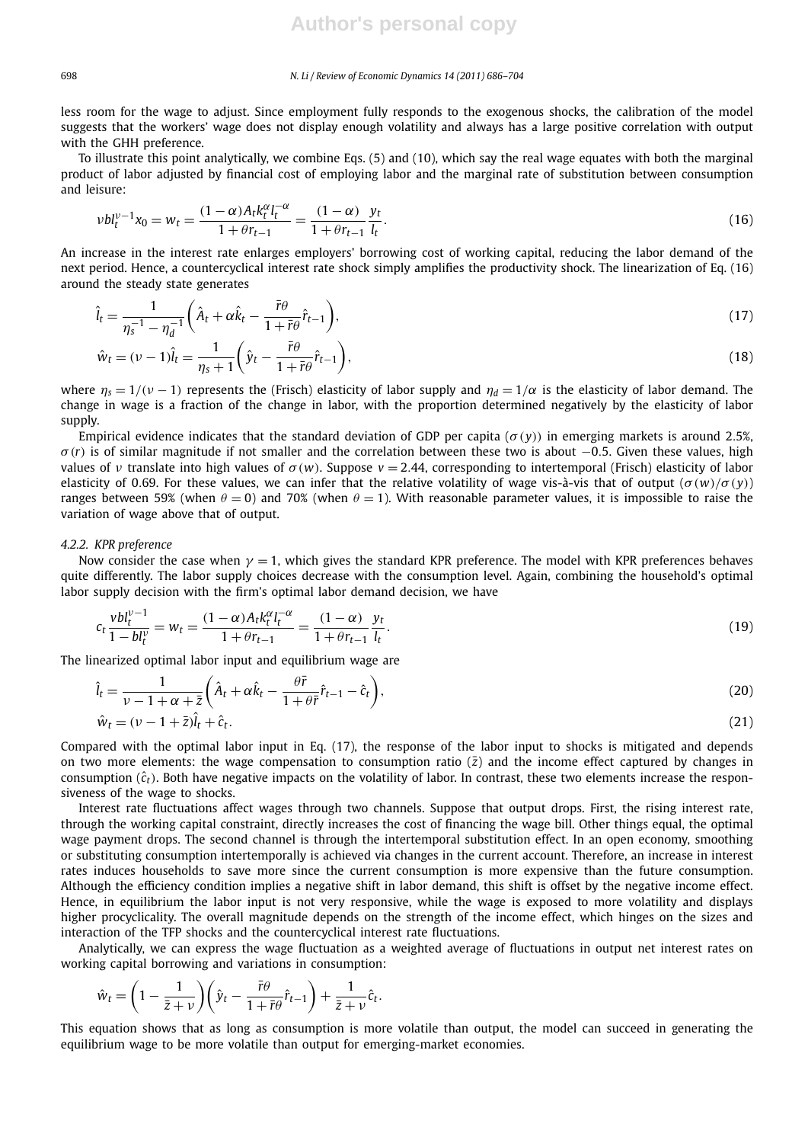#### 698 *N. Li / Review of Economic Dynamics 14 (2011) 686–704*

less room for the wage to adjust. Since employment fully responds to the exogenous shocks, the calibration of the model suggests that the workers' wage does not display enough volatility and always has a large positive correlation with output with the GHH preference.

To illustrate this point analytically, we combine Eqs. (5) and (10), which say the real wage equates with both the marginal product of labor adjusted by financial cost of employing labor and the marginal rate of substitution between consumption and leisure:

$$
\nu b l_t^{\nu-1} x_0 = w_t = \frac{(1-\alpha) A_t k_t^{\alpha} l_t^{-\alpha}}{1 + \theta r_{t-1}} = \frac{(1-\alpha)}{1 + \theta r_{t-1}} \frac{y_t}{l_t}.
$$
\n(16)

An increase in the interest rate enlarges employers' borrowing cost of working capital, reducing the labor demand of the next period. Hence, a countercyclical interest rate shock simply amplifies the productivity shock. The linearization of Eq. (16) around the steady state generates

$$
\hat{l}_t = \frac{1}{\eta_s^{-1} - \eta_d^{-1}} \left( \hat{A}_t + \alpha \hat{k}_t - \frac{\bar{r}\theta}{1 + \bar{r}\theta} \hat{r}_{t-1} \right),\tag{17}
$$

$$
\hat{w}_t = (\nu - 1)\hat{l}_t = \frac{1}{\eta_s + 1} \left(\hat{y}_t - \frac{\bar{r}\theta}{1 + \bar{r}\theta}\hat{r}_{t-1}\right),\tag{18}
$$

where  $\eta_s = 1/(v - 1)$  represents the (Frisch) elasticity of labor supply and  $\eta_d = 1/\alpha$  is the elasticity of labor demand. The change in wage is a fraction of the change in labor, with the proportion determined negatively by the elasticity of labor supply.

Empirical evidence indicates that the standard deviation of GDP per capita ( $\sigma(y)$ ) in emerging markets is around 2.5%, *σ(r)* is of similar magnitude if not smaller and the correlation between these two is about −0*.*5. Given these values, high values of *ν* translate into high values of *σ(w)*. Suppose *v* = 2*.*44, corresponding to intertemporal (Frisch) elasticity of labor elasticity of 0.69. For these values, we can infer that the relative volatility of wage vis-à-vis that of output ( $σ(w)/σ(y)$ ) ranges between 59% (when  $\theta = 0$ ) and 70% (when  $\theta = 1$ ). With reasonable parameter values, it is impossible to raise the variation of wage above that of output.

#### *4.2.2. KPR preference*

Now consider the case when  $\gamma = 1$ , which gives the standard KPR preference. The model with KPR preferences behaves quite differently. The labor supply choices decrease with the consumption level. Again, combining the household's optimal labor supply decision with the firm's optimal labor demand decision, we have

$$
c_t \frac{vbl_t^{v-1}}{1 - bl_t^v} = w_t = \frac{(1 - \alpha)A_t k_t^{\alpha} l_t^{-\alpha}}{1 + \theta r_{t-1}} = \frac{(1 - \alpha)}{1 + \theta r_{t-1}} \frac{y_t}{l_t}.
$$
\n(19)

The linearized optimal labor input and equilibrium wage are

$$
\hat{l}_t = \frac{1}{\nu - 1 + \alpha + \bar{z}} \left( \hat{A}_t + \alpha \hat{k}_t - \frac{\theta \bar{r}}{1 + \theta \bar{r}} \hat{r}_{t-1} - \hat{c}_t \right),\tag{20}
$$
\n
$$
\hat{w}_t = (\nu - 1 + \bar{z}) \hat{l}_t + \hat{c}_t.
$$

Compared with the optimal labor input in Eq. (17), the response of the labor input to shocks is mitigated and depends on two more elements: the wage compensation to consumption ratio  $(\bar{z})$  and the income effect captured by changes in consumption  $(\hat{c}_t)$ . Both have negative impacts on the volatility of labor. In contrast, these two elements increase the responsiveness of the wage to shocks.

Interest rate fluctuations affect wages through two channels. Suppose that output drops. First, the rising interest rate, through the working capital constraint, directly increases the cost of financing the wage bill. Other things equal, the optimal wage payment drops. The second channel is through the intertemporal substitution effect. In an open economy, smoothing or substituting consumption intertemporally is achieved via changes in the current account. Therefore, an increase in interest rates induces households to save more since the current consumption is more expensive than the future consumption. Although the efficiency condition implies a negative shift in labor demand, this shift is offset by the negative income effect. Hence, in equilibrium the labor input is not very responsive, while the wage is exposed to more volatility and displays higher procyclicality. The overall magnitude depends on the strength of the income effect, which hinges on the sizes and interaction of the TFP shocks and the countercyclical interest rate fluctuations.

Analytically, we can express the wage fluctuation as a weighted average of fluctuations in output net interest rates on working capital borrowing and variations in consumption:

$$
\hat{w}_t = \left(1 - \frac{1}{\bar{z} + \nu}\right) \left(\hat{y}_t - \frac{\bar{r}\theta}{1 + \bar{r}\theta}\hat{r}_{t-1}\right) + \frac{1}{\bar{z} + \nu}\hat{c}_t.
$$

This equation shows that as long as consumption is more volatile than output, the model can succeed in generating the equilibrium wage to be more volatile than output for emerging-market economies.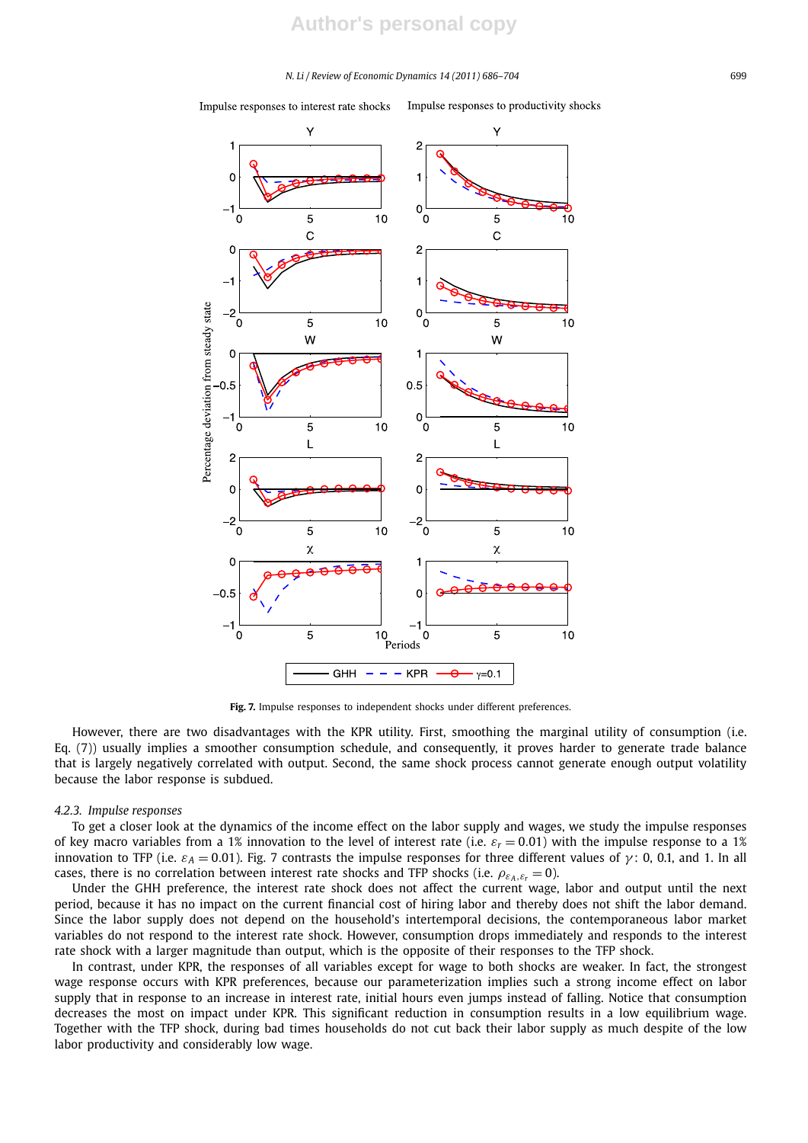Impulse responses to interest rate shocks

Impulse responses to productivity shocks



**Fig. 7.** Impulse responses to independent shocks under different preferences.

However, there are two disadvantages with the KPR utility. First, smoothing the marginal utility of consumption (i.e. Eq. (7)) usually implies a smoother consumption schedule, and consequently, it proves harder to generate trade balance that is largely negatively correlated with output. Second, the same shock process cannot generate enough output volatility because the labor response is subdued.

### *4.2.3. Impulse responses*

To get a closer look at the dynamics of the income effect on the labor supply and wages, we study the impulse responses of key macro variables from a 1% innovation to the level of interest rate (i.e.  $\varepsilon_r = 0.01$ ) with the impulse response to a 1% innovation to TFP (i.e.  $\varepsilon_A = 0.01$ ). Fig. 7 contrasts the impulse responses for three different values of  $\gamma$ : 0, 0.1, and 1. In all cases, there is no correlation between interest rate shocks and TFP shocks (i.e.  $\rho_{\varepsilon_A,\varepsilon_F} = 0$ ).

Under the GHH preference, the interest rate shock does not affect the current wage, labor and output until the next period, because it has no impact on the current financial cost of hiring labor and thereby does not shift the labor demand. Since the labor supply does not depend on the household's intertemporal decisions, the contemporaneous labor market variables do not respond to the interest rate shock. However, consumption drops immediately and responds to the interest rate shock with a larger magnitude than output, which is the opposite of their responses to the TFP shock.

In contrast, under KPR, the responses of all variables except for wage to both shocks are weaker. In fact, the strongest wage response occurs with KPR preferences, because our parameterization implies such a strong income effect on labor supply that in response to an increase in interest rate, initial hours even jumps instead of falling. Notice that consumption decreases the most on impact under KPR. This significant reduction in consumption results in a low equilibrium wage. Together with the TFP shock, during bad times households do not cut back their labor supply as much despite of the low labor productivity and considerably low wage.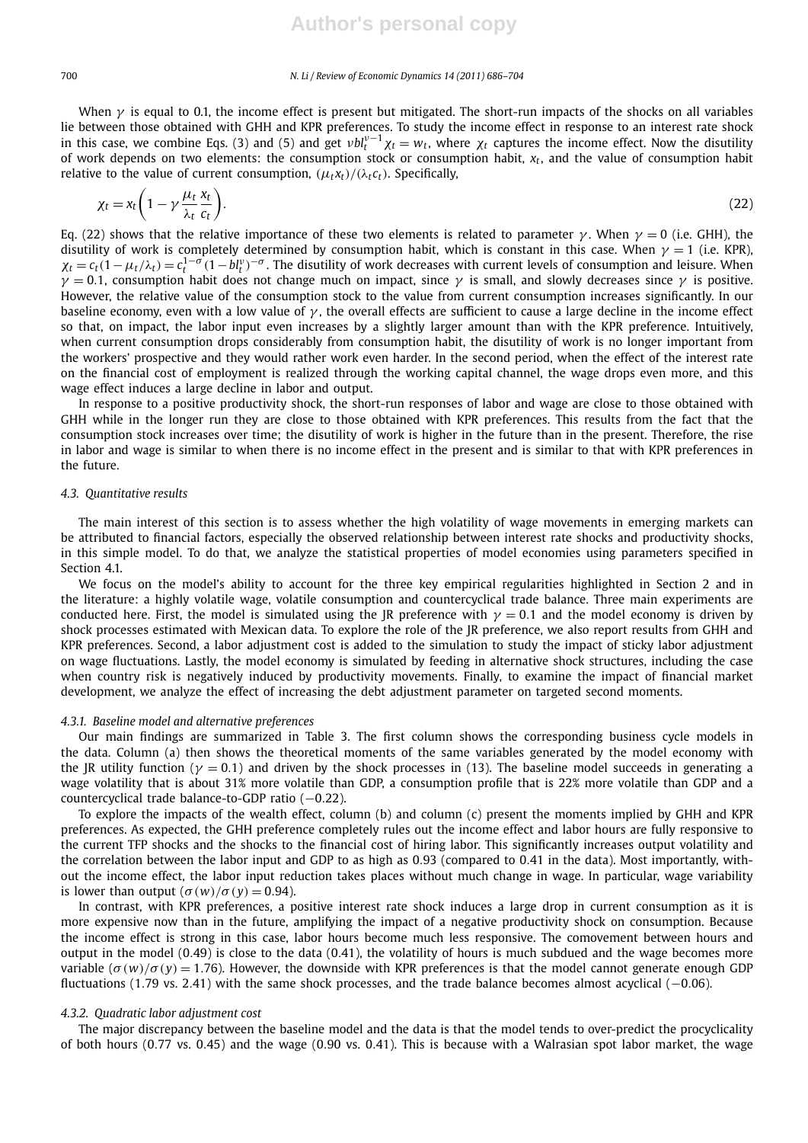When  $\gamma$  is equal to 0.1, the income effect is present but mitigated. The short-run impacts of the shocks on all variables lie between those obtained with GHH and KPR preferences. To study the income effect in response to an interest rate shock in this case, we combine Eqs. (3) and (5) and get  $vbl_t^{v-1}\chi_t = w_t$ , where  $\chi_t$  captures the income effect. Now the disutility of work depends on two elements: the consumption stock or consumption habit, *xt*, and the value of consumption habit relative to the value of current consumption,  $(\mu_t x_t)/(\lambda_t c_t)$ . Specifically,

$$
\chi_t = x_t \left( 1 - \gamma \frac{\mu_t}{\lambda_t} \frac{x_t}{c_t} \right). \tag{22}
$$

Eq. (22) shows that the relative importance of these two elements is related to parameter *γ* . When *γ* = 0 (i.e. GHH), the disutility of work is completely determined by consumption habit, which is constant in this case. When  $\gamma = 1$  (i.e. KPR),  $\chi_t = c_t(1 - \mu_t/\lambda_t) = c_t^{1 - \sigma}(1 - bl_t^v)^{-\sigma}$ . The disutility of work decreases with current levels of consumption and leisure. When  $\gamma = 0.1$ , consumption habit does not change much on impact, since  $\gamma$  is small, and slowly decreases since  $\gamma$  is positive. However, the relative value of the consumption stock to the value from current consumption increases significantly. In our baseline economy, even with a low value of *γ* , the overall effects are sufficient to cause a large decline in the income effect so that, on impact, the labor input even increases by a slightly larger amount than with the KPR preference. Intuitively, when current consumption drops considerably from consumption habit, the disutility of work is no longer important from the workers' prospective and they would rather work even harder. In the second period, when the effect of the interest rate on the financial cost of employment is realized through the working capital channel, the wage drops even more, and this wage effect induces a large decline in labor and output.

In response to a positive productivity shock, the short-run responses of labor and wage are close to those obtained with GHH while in the longer run they are close to those obtained with KPR preferences. This results from the fact that the consumption stock increases over time; the disutility of work is higher in the future than in the present. Therefore, the rise in labor and wage is similar to when there is no income effect in the present and is similar to that with KPR preferences in the future.

#### *4.3. Quantitative results*

The main interest of this section is to assess whether the high volatility of wage movements in emerging markets can be attributed to financial factors, especially the observed relationship between interest rate shocks and productivity shocks, in this simple model. To do that, we analyze the statistical properties of model economies using parameters specified in Section 41

We focus on the model's ability to account for the three key empirical regularities highlighted in Section 2 and in the literature: a highly volatile wage, volatile consumption and countercyclical trade balance. Three main experiments are conducted here. First, the model is simulated using the JR preference with  $\gamma = 0.1$  and the model economy is driven by shock processes estimated with Mexican data. To explore the role of the JR preference, we also report results from GHH and KPR preferences. Second, a labor adjustment cost is added to the simulation to study the impact of sticky labor adjustment on wage fluctuations. Lastly, the model economy is simulated by feeding in alternative shock structures, including the case when country risk is negatively induced by productivity movements. Finally, to examine the impact of financial market development, we analyze the effect of increasing the debt adjustment parameter on targeted second moments.

#### *4.3.1. Baseline model and alternative preferences*

Our main findings are summarized in Table 3. The first column shows the corresponding business cycle models in the data. Column (a) then shows the theoretical moments of the same variables generated by the model economy with the JR utility function ( $\gamma = 0.1$ ) and driven by the shock processes in (13). The baseline model succeeds in generating a wage volatility that is about 31% more volatile than GDP, a consumption profile that is 22% more volatile than GDP and a countercyclical trade balance-to-GDP ratio (−0*.*22).

To explore the impacts of the wealth effect, column (b) and column (c) present the moments implied by GHH and KPR preferences. As expected, the GHH preference completely rules out the income effect and labor hours are fully responsive to the current TFP shocks and the shocks to the financial cost of hiring labor. This significantly increases output volatility and the correlation between the labor input and GDP to as high as 0*.*93 (compared to 0*.*41 in the data). Most importantly, without the income effect, the labor input reduction takes places without much change in wage. In particular, wage variability is lower than output  $(\sigma(w)/\sigma(v) = 0.94)$ .

In contrast, with KPR preferences, a positive interest rate shock induces a large drop in current consumption as it is more expensive now than in the future, amplifying the impact of a negative productivity shock on consumption. Because the income effect is strong in this case, labor hours become much less responsive. The comovement between hours and output in the model (0*.*49) is close to the data (0*.*41), the volatility of hours is much subdued and the wage becomes more variable  $(\sigma(w)/\sigma(y) = 1.76)$ . However, the downside with KPR preferences is that the model cannot generate enough GDP fluctuations (1*.*79 vs. 2*.*41) with the same shock processes, and the trade balance becomes almost acyclical (−0*.*06).

#### *4.3.2. Quadratic labor adjustment cost*

The major discrepancy between the baseline model and the data is that the model tends to over-predict the procyclicality of both hours (0*.*77 vs. 0*.*45) and the wage (0*.*90 vs. 0*.*41). This is because with a Walrasian spot labor market, the wage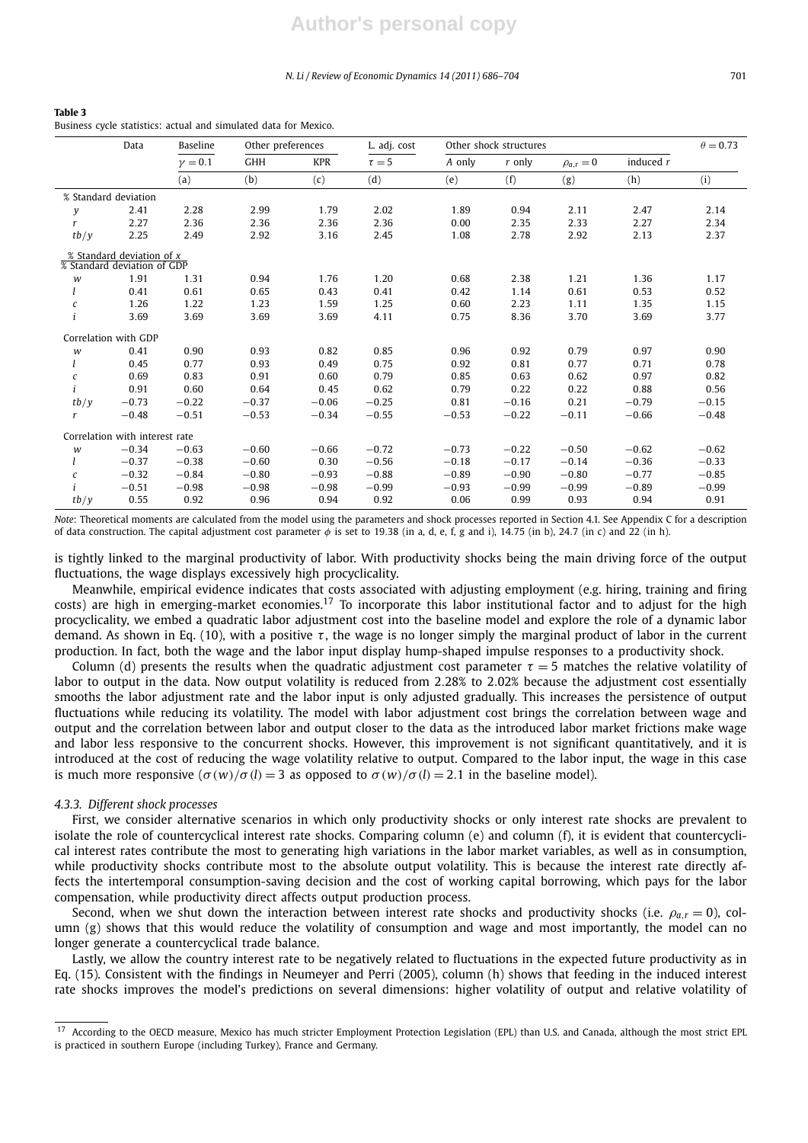| Table 3 |  |  |                                                                  |  |  |
|---------|--|--|------------------------------------------------------------------|--|--|
|         |  |  | Business cycle statistics: actual and simulated data for Mexico. |  |  |

|                                                          | Data                           | <b>Baseline</b><br>Other preferences |            | L. adj. cost | Other shock structures | $\theta = 0.73$ |          |                |             |         |
|----------------------------------------------------------|--------------------------------|--------------------------------------|------------|--------------|------------------------|-----------------|----------|----------------|-------------|---------|
|                                                          |                                | $\nu = 0.1$                          | <b>GHH</b> | <b>KPR</b>   | $\tau = 5$             | A only          | $r$ only | $\rho_{a,r}=0$ | induced $r$ |         |
|                                                          |                                | (a)                                  | (b)        | (c)          | (d)                    | (e)             | (f)      | (g)            | (h)         | (i)     |
|                                                          | % Standard deviation           |                                      |            |              |                        |                 |          |                |             |         |
| y                                                        | 2.41                           | 2.28                                 | 2.99       | 1.79         | 2.02                   | 1.89            | 0.94     | 2.11           | 2.47        | 2.14    |
| r                                                        | 2.27                           | 2.36                                 | 2.36       | 2.36         | 2.36                   | 0.00            | 2.35     | 2.33           | 2.27        | 2.34    |
| tb/y                                                     | 2.25                           | 2.49                                 | 2.92       | 3.16         | 2.45                   | 1.08            | 2.78     | 2.92           | 2.13        | 2.37    |
| % Standard deviation of x<br>% Standard deviation of GDP |                                |                                      |            |              |                        |                 |          |                |             |         |
| w                                                        | 1.91                           | 1.31                                 | 0.94       | 1.76         | 1.20                   | 0.68            | 2.38     | 1.21           | 1.36        | 1.17    |
|                                                          | 0.41                           | 0.61                                 | 0.65       | 0.43         | 0.41                   | 0.42            | 1.14     | 0.61           | 0.53        | 0.52    |
| $\epsilon$                                               | 1.26                           | 1.22                                 | 1.23       | 1.59         | 1.25                   | 0.60            | 2.23     | 1.11           | 1.35        | 1.15    |
| $\mathbf{i}$                                             | 3.69                           | 3.69                                 | 3.69       | 3.69         | 4.11                   | 0.75            | 8.36     | 3.70           | 3.69        | 3.77    |
|                                                          | Correlation with GDP           |                                      |            |              |                        |                 |          |                |             |         |
| W                                                        | 0.41                           | 0.90                                 | 0.93       | 0.82         | 0.85                   | 0.96            | 0.92     | 0.79           | 0.97        | 0.90    |
|                                                          | 0.45                           | 0.77                                 | 0.93       | 0.49         | 0.75                   | 0.92            | 0.81     | 0.77           | 0.71        | 0.78    |
| $\epsilon$                                               | 0.69                           | 0.83                                 | 0.91       | 0.60         | 0.79                   | 0.85            | 0.63     | 0.62           | 0.97        | 0.82    |
| $\mathbf{i}$                                             | 0.91                           | 0.60                                 | 0.64       | 0.45         | 0.62                   | 0.79            | 0.22     | 0.22           | 0.88        | 0.56    |
| tb/y                                                     | $-0.73$                        | $-0.22$                              | $-0.37$    | $-0.06$      | $-0.25$                | 0.81            | $-0.16$  | 0.21           | $-0.79$     | $-0.15$ |
| $\mathbf{r}$                                             | $-0.48$                        | $-0.51$                              | $-0.53$    | $-0.34$      | $-0.55$                | $-0.53$         | $-0.22$  | $-0.11$        | $-0.66$     | $-0.48$ |
|                                                          | Correlation with interest rate |                                      |            |              |                        |                 |          |                |             |         |
| $\boldsymbol{w}$                                         | $-0.34$                        | $-0.63$                              | $-0.60$    | $-0.66$      | $-0.72$                | $-0.73$         | $-0.22$  | $-0.50$        | $-0.62$     | $-0.62$ |
|                                                          | $-0.37$                        | $-0.38$                              | $-0.60$    | 0.30         | $-0.56$                | $-0.18$         | $-0.17$  | $-0.14$        | $-0.36$     | $-0.33$ |
| $\epsilon$                                               | $-0.32$                        | $-0.84$                              | $-0.80$    | $-0.93$      | $-0.88$                | $-0.89$         | $-0.90$  | $-0.80$        | $-0.77$     | $-0.85$ |
| $\mathbf{i}$                                             | $-0.51$                        | $-0.98$                              | $-0.98$    | $-0.98$      | $-0.99$                | $-0.93$         | $-0.99$  | $-0.99$        | $-0.89$     | $-0.99$ |
| tb/y                                                     | 0.55                           | 0.92                                 | 0.96       | 0.94         | 0.92                   | 0.06            | 0.99     | 0.93           | 0.94        | 0.91    |

*Note*: Theoretical moments are calculated from the model using the parameters and shock processes reported in Section 4.1. See Appendix C for a description of data construction. The capital adjustment cost parameter *φ* is set to 19*.*38 (in a, d, e, f, g and i), 14*.*75 (in b), 24*.*7 (in c) and 22 (in h).

is tightly linked to the marginal productivity of labor. With productivity shocks being the main driving force of the output fluctuations, the wage displays excessively high procyclicality.

Meanwhile, empirical evidence indicates that costs associated with adjusting employment (e.g. hiring, training and firing costs) are high in emerging-market economies.17 To incorporate this labor institutional factor and to adjust for the high procyclicality, we embed a quadratic labor adjustment cost into the baseline model and explore the role of a dynamic labor demand. As shown in Eq. (10), with a positive *τ* , the wage is no longer simply the marginal product of labor in the current production. In fact, both the wage and the labor input display hump-shaped impulse responses to a productivity shock.

Column (d) presents the results when the quadratic adjustment cost parameter  $\tau = 5$  matches the relative volatility of labor to output in the data. Now output volatility is reduced from 2*.*28% to 2*.*02% because the adjustment cost essentially smooths the labor adjustment rate and the labor input is only adjusted gradually. This increases the persistence of output fluctuations while reducing its volatility. The model with labor adjustment cost brings the correlation between wage and output and the correlation between labor and output closer to the data as the introduced labor market frictions make wage and labor less responsive to the concurrent shocks. However, this improvement is not significant quantitatively, and it is introduced at the cost of reducing the wage volatility relative to output. Compared to the labor input, the wage in this case is much more responsive  $(\sigma(w)/\sigma(l) = 3$  as opposed to  $\sigma(w)/\sigma(l) = 2.1$  in the baseline model).

#### *4.3.3. Different shock processes*

First, we consider alternative scenarios in which only productivity shocks or only interest rate shocks are prevalent to isolate the role of countercyclical interest rate shocks. Comparing column (e) and column (f), it is evident that countercyclical interest rates contribute the most to generating high variations in the labor market variables, as well as in consumption, while productivity shocks contribute most to the absolute output volatility. This is because the interest rate directly affects the intertemporal consumption-saving decision and the cost of working capital borrowing, which pays for the labor compensation, while productivity direct affects output production process.

Second, when we shut down the interaction between interest rate shocks and productivity shocks (i.e.  $\rho_{a,r} = 0$ ), column (g) shows that this would reduce the volatility of consumption and wage and most importantly, the model can no longer generate a countercyclical trade balance.

Lastly, we allow the country interest rate to be negatively related to fluctuations in the expected future productivity as in Eq. (15). Consistent with the findings in Neumeyer and Perri (2005), column (h) shows that feeding in the induced interest rate shocks improves the model's predictions on several dimensions: higher volatility of output and relative volatility of

<sup>&</sup>lt;sup>17</sup> According to the OECD measure, Mexico has much stricter Employment Protection Legislation (EPL) than U.S. and Canada, although the most strict EPL is practiced in southern Europe (including Turkey), France and Germany.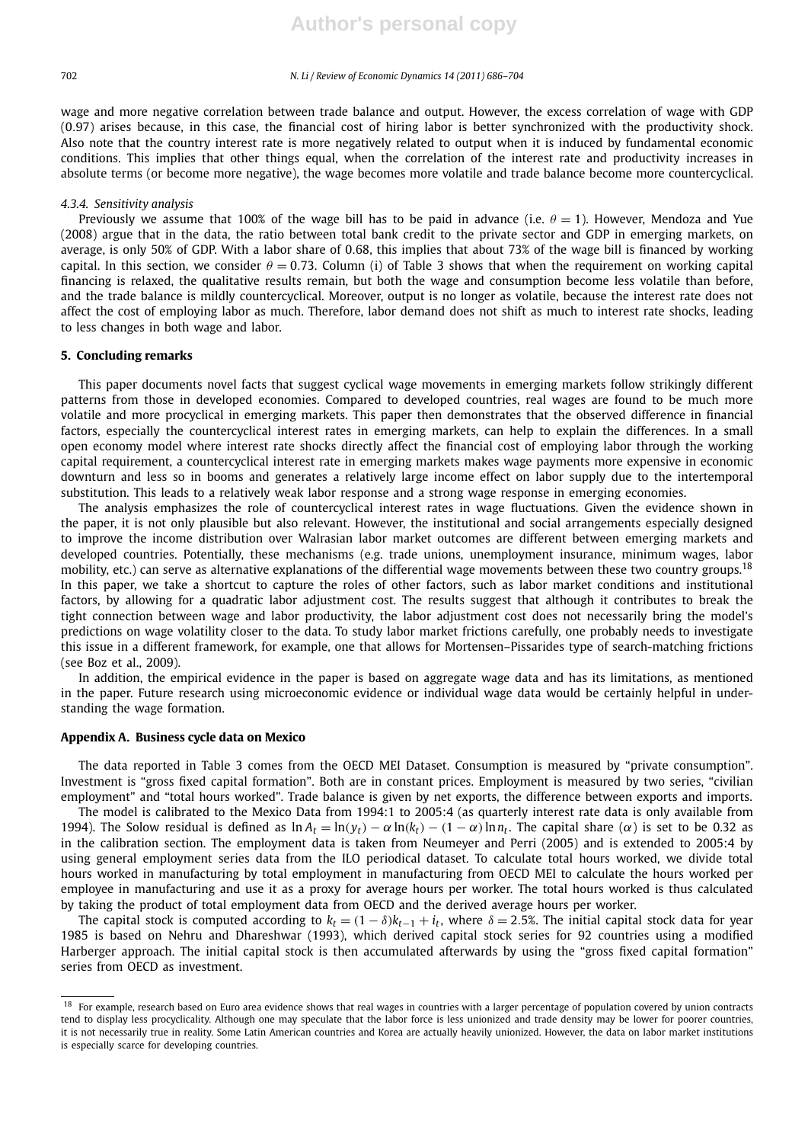wage and more negative correlation between trade balance and output. However, the excess correlation of wage with GDP (0*.*97) arises because, in this case, the financial cost of hiring labor is better synchronized with the productivity shock. Also note that the country interest rate is more negatively related to output when it is induced by fundamental economic conditions. This implies that other things equal, when the correlation of the interest rate and productivity increases in absolute terms (or become more negative), the wage becomes more volatile and trade balance become more countercyclical.

#### *4.3.4. Sensitivity analysis*

Previously we assume that 100% of the wage bill has to be paid in advance (i.e.  $\theta = 1$ ). However, Mendoza and Yue (2008) argue that in the data, the ratio between total bank credit to the private sector and GDP in emerging markets, on average, is only 50% of GDP. With a labor share of 0*.*68, this implies that about 73% of the wage bill is financed by working capital. In this section, we consider  $\theta = 0.73$ . Column (i) of Table 3 shows that when the requirement on working capital financing is relaxed, the qualitative results remain, but both the wage and consumption become less volatile than before, and the trade balance is mildly countercyclical. Moreover, output is no longer as volatile, because the interest rate does not affect the cost of employing labor as much. Therefore, labor demand does not shift as much to interest rate shocks, leading to less changes in both wage and labor.

#### **5. Concluding remarks**

This paper documents novel facts that suggest cyclical wage movements in emerging markets follow strikingly different patterns from those in developed economies. Compared to developed countries, real wages are found to be much more volatile and more procyclical in emerging markets. This paper then demonstrates that the observed difference in financial factors, especially the countercyclical interest rates in emerging markets, can help to explain the differences. In a small open economy model where interest rate shocks directly affect the financial cost of employing labor through the working capital requirement, a countercyclical interest rate in emerging markets makes wage payments more expensive in economic downturn and less so in booms and generates a relatively large income effect on labor supply due to the intertemporal substitution. This leads to a relatively weak labor response and a strong wage response in emerging economies.

The analysis emphasizes the role of countercyclical interest rates in wage fluctuations. Given the evidence shown in the paper, it is not only plausible but also relevant. However, the institutional and social arrangements especially designed to improve the income distribution over Walrasian labor market outcomes are different between emerging markets and developed countries. Potentially, these mechanisms (e.g. trade unions, unemployment insurance, minimum wages, labor mobility, etc.) can serve as alternative explanations of the differential wage movements between these two country groups.<sup>18</sup> In this paper, we take a shortcut to capture the roles of other factors, such as labor market conditions and institutional factors, by allowing for a quadratic labor adjustment cost. The results suggest that although it contributes to break the tight connection between wage and labor productivity, the labor adjustment cost does not necessarily bring the model's predictions on wage volatility closer to the data. To study labor market frictions carefully, one probably needs to investigate this issue in a different framework, for example, one that allows for Mortensen–Pissarides type of search-matching frictions (see Boz et al., 2009).

In addition, the empirical evidence in the paper is based on aggregate wage data and has its limitations, as mentioned in the paper. Future research using microeconomic evidence or individual wage data would be certainly helpful in understanding the wage formation.

### **Appendix A. Business cycle data on Mexico**

The data reported in Table 3 comes from the OECD MEI Dataset. Consumption is measured by "private consumption". Investment is "gross fixed capital formation". Both are in constant prices. Employment is measured by two series, "civilian employment" and "total hours worked". Trade balance is given by net exports, the difference between exports and imports.

The model is calibrated to the Mexico Data from 1994:1 to 2005:4 (as quarterly interest rate data is only available from 1994). The Solow residual is defined as  $\ln A_t = \ln(y_t) - \alpha \ln(k_t) - (1 - \alpha) \ln n_t$ . The capital share (*α*) is set to be 0.32 as in the calibration section. The employment data is taken from Neumeyer and Perri (2005) and is extended to 2005:4 by using general employment series data from the ILO periodical dataset. To calculate total hours worked, we divide total hours worked in manufacturing by total employment in manufacturing from OECD MEI to calculate the hours worked per employee in manufacturing and use it as a proxy for average hours per worker. The total hours worked is thus calculated by taking the product of total employment data from OECD and the derived average hours per worker.

The capital stock is computed according to  $k_t = (1 - \delta)k_{t-1} + i_t$ , where  $\delta = 2.5$ %. The initial capital stock data for year 1985 is based on Nehru and Dhareshwar (1993), which derived capital stock series for 92 countries using a modified Harberger approach. The initial capital stock is then accumulated afterwards by using the "gross fixed capital formation" series from OECD as investment.

<sup>&</sup>lt;sup>18</sup> For example, research based on Euro area evidence shows that real wages in countries with a larger percentage of population covered by union contracts tend to display less procyclicality. Although one may speculate that the labor force is less unionized and trade density may be lower for poorer countries, it is not necessarily true in reality. Some Latin American countries and Korea are actually heavily unionized. However, the data on labor market institutions is especially scarce for developing countries.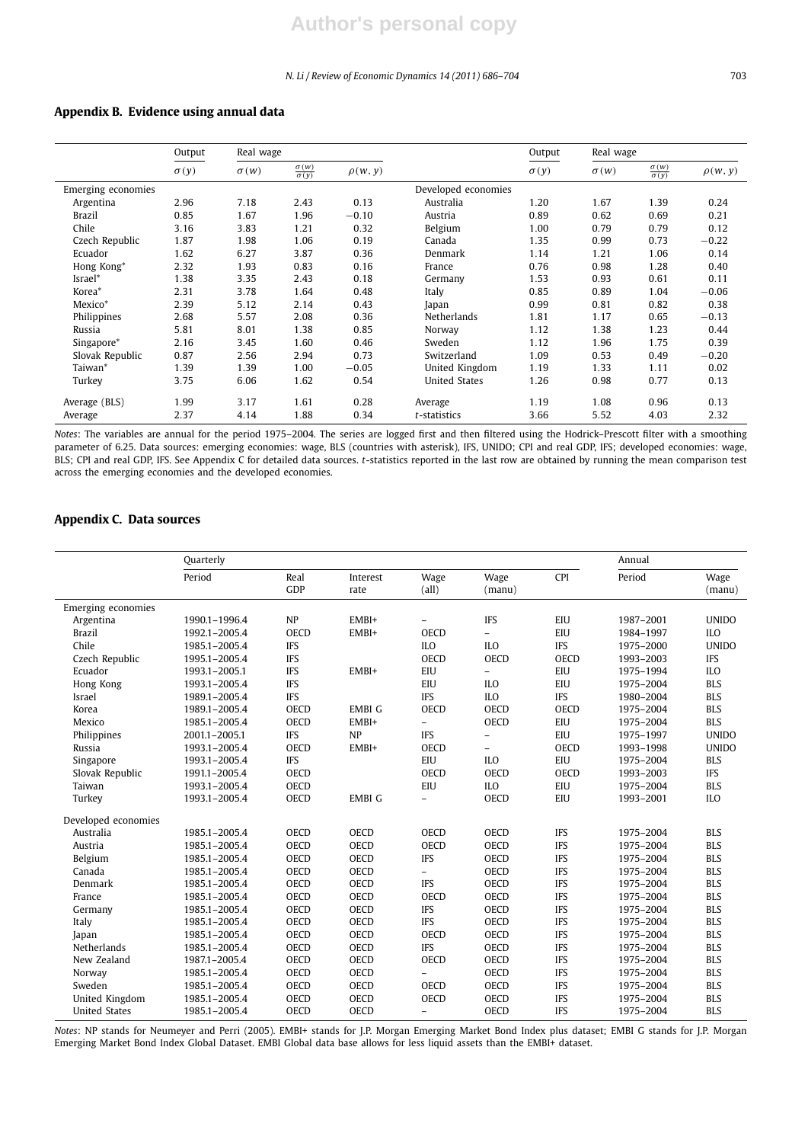### **Appendix B. Evidence using annual data**

|                    | Output      | Real wage   |                               |              |                      | Output      | Real wage   |                               |              |
|--------------------|-------------|-------------|-------------------------------|--------------|----------------------|-------------|-------------|-------------------------------|--------------|
|                    | $\sigma(y)$ | $\sigma(w)$ | $\frac{\sigma(w)}{\sigma(y)}$ | $\rho(w, y)$ |                      | $\sigma(y)$ | $\sigma(w)$ | $\frac{\sigma(w)}{\sigma(y)}$ | $\rho(w, y)$ |
| Emerging economies |             |             |                               |              | Developed economies  |             |             |                               |              |
| Argentina          | 2.96        | 7.18        | 2.43                          | 0.13         | Australia            | 1.20        | 1.67        | 1.39                          | 0.24         |
| Brazil             | 0.85        | 1.67        | 1.96                          | $-0.10$      | Austria              | 0.89        | 0.62        | 0.69                          | 0.21         |
| Chile              | 3.16        | 3.83        | 1.21                          | 0.32         | Belgium              | 1.00        | 0.79        | 0.79                          | 0.12         |
| Czech Republic     | 1.87        | 1.98        | 1.06                          | 0.19         | Canada               | 1.35        | 0.99        | 0.73                          | $-0.22$      |
| Ecuador            | 1.62        | 6.27        | 3.87                          | 0.36         | Denmark              | 1.14        | 1.21        | 1.06                          | 0.14         |
| Hong Kong*         | 2.32        | 1.93        | 0.83                          | 0.16         | France               | 0.76        | 0.98        | 1.28                          | 0.40         |
| Israel*            | 1.38        | 3.35        | 2.43                          | 0.18         | Germany              | 1.53        | 0.93        | 0.61                          | 0.11         |
| Korea*             | 2.31        | 3.78        | 1.64                          | 0.48         | Italy                | 0.85        | 0.89        | 1.04                          | $-0.06$      |
| Mexico*            | 2.39        | 5.12        | 2.14                          | 0.43         | Japan                | 0.99        | 0.81        | 0.82                          | 0.38         |
| Philippines        | 2.68        | 5.57        | 2.08                          | 0.36         | Netherlands          | 1.81        | 1.17        | 0.65                          | $-0.13$      |
| Russia             | 5.81        | 8.01        | 1.38                          | 0.85         | Norway               | 1.12        | 1.38        | 1.23                          | 0.44         |
| Singapore*         | 2.16        | 3.45        | 1.60                          | 0.46         | Sweden               | 1.12        | 1.96        | 1.75                          | 0.39         |
| Slovak Republic    | 0.87        | 2.56        | 2.94                          | 0.73         | Switzerland          | 1.09        | 0.53        | 0.49                          | $-0.20$      |
| Taiwan*            | 1.39        | 1.39        | 1.00                          | $-0.05$      | United Kingdom       | 1.19        | 1.33        | 1.11                          | 0.02         |
| Turkey             | 3.75        | 6.06        | 1.62                          | 0.54         | <b>United States</b> | 1.26        | 0.98        | 0.77                          | 0.13         |
| Average (BLS)      | 1.99        | 3.17        | 1.61                          | 0.28         | Average              | 1.19        | 1.08        | 0.96                          | 0.13         |
| Average            | 2.37        | 4.14        | 1.88                          | 0.34         | t-statistics         | 3.66        | 5.52        | 4.03                          | 2.32         |

*Notes*: The variables are annual for the period 1975–2004. The series are logged first and then filtered using the Hodrick–Prescott filter with a smoothing parameter of 6.25. Data sources: emerging economies: wage, BLS (countries with asterisk), IFS, UNIDO; CPI and real GDP, IFS; developed economies: wage, BLS; CPI and real GDP, IFS. See Appendix C for detailed data sources. *t*-statistics reported in the last row are obtained by running the mean comparison test across the emerging economies and the developed economies.

### **Appendix C. Data sources**

|                      | Quarterly     |             |               |                          |                          | Annual      |           |              |
|----------------------|---------------|-------------|---------------|--------------------------|--------------------------|-------------|-----------|--------------|
|                      | Period        | Real        | Interest      | Wage                     | Wage                     | <b>CPI</b>  | Period    | Wage         |
|                      |               | <b>GDP</b>  | rate          | $\text{(all)}$           | (manu)                   |             |           | (manu)       |
| Emerging economies   |               |             |               |                          |                          |             |           |              |
| Argentina            | 1990.1-1996.4 | <b>NP</b>   | EMBI+         | ÷                        | <b>IFS</b>               | <b>EIU</b>  | 1987-2001 | <b>UNIDO</b> |
| <b>Brazil</b>        | 1992.1-2005.4 | <b>OECD</b> | EMBI+         | <b>OECD</b>              | $\equiv$                 | <b>EIU</b>  | 1984-1997 | <b>ILO</b>   |
| Chile                | 1985.1-2005.4 | <b>IFS</b>  |               | <b>ILO</b>               | <b>ILO</b>               | <b>IFS</b>  | 1975-2000 | <b>UNIDO</b> |
| Czech Republic       | 1995.1-2005.4 | <b>IFS</b>  |               | <b>OECD</b>              | <b>OECD</b>              | <b>OECD</b> | 1993-2003 | <b>IFS</b>   |
| Ecuador              | 1993.1-2005.1 | <b>IFS</b>  | EMBI+         | EIU                      | ÷                        | EIU         | 1975-1994 | <b>ILO</b>   |
| Hong Kong            | 1993.1-2005.4 | <b>IFS</b>  |               | EIU                      | <b>ILO</b>               | <b>EIU</b>  | 1975-2004 | <b>BLS</b>   |
| Israel               | 1989.1-2005.4 | <b>IFS</b>  |               | <b>IFS</b>               | <b>ILO</b>               | <b>IFS</b>  | 1980-2004 | <b>BLS</b>   |
| Korea                | 1989.1-2005.4 | <b>OECD</b> | <b>EMBI G</b> | <b>OECD</b>              | <b>OECD</b>              | <b>OECD</b> | 1975-2004 | <b>BLS</b>   |
| Mexico               | 1985.1-2005.4 | <b>OECD</b> | EMBI+         | ÷                        | <b>OECD</b>              | EIU         | 1975-2004 | <b>BLS</b>   |
| Philippines          | 2001.1-2005.1 | <b>IFS</b>  | NP            | <b>IFS</b>               | $\overline{\phantom{0}}$ | EIU         | 1975-1997 | <b>UNIDO</b> |
| Russia               | 1993.1-2005.4 | <b>OECD</b> | EMBI+         | <b>OECD</b>              | ÷                        | OECD        | 1993-1998 | <b>UNIDO</b> |
| Singapore            | 1993.1-2005.4 | <b>IFS</b>  |               | <b>EIU</b>               | <b>ILO</b>               | <b>EIU</b>  | 1975-2004 | <b>BLS</b>   |
| Slovak Republic      | 1991.1-2005.4 | <b>OECD</b> |               | <b>OECD</b>              | <b>OECD</b>              | <b>OECD</b> | 1993-2003 | <b>IFS</b>   |
| Taiwan               | 1993.1-2005.4 | <b>OECD</b> |               | EIU                      | <b>ILO</b>               | EIU         | 1975-2004 | <b>BLS</b>   |
| Turkey               | 1993.1-2005.4 | <b>OECD</b> | <b>EMBI G</b> | $\overline{\phantom{0}}$ | <b>OECD</b>              | <b>EIU</b>  | 1993-2001 | ILO          |
| Developed economies  |               |             |               |                          |                          |             |           |              |
| Australia            | 1985.1-2005.4 | <b>OECD</b> | <b>OECD</b>   | <b>OECD</b>              | <b>OECD</b>              | <b>IFS</b>  | 1975-2004 | <b>BLS</b>   |
| Austria              | 1985.1-2005.4 | <b>OECD</b> | <b>OECD</b>   | OECD                     | OECD                     | <b>IFS</b>  | 1975-2004 | <b>BLS</b>   |
| Belgium              | 1985.1-2005.4 | <b>OECD</b> | <b>OECD</b>   | <b>IFS</b>               | <b>OECD</b>              | <b>IFS</b>  | 1975-2004 | <b>BLS</b>   |
| Canada               | 1985.1-2005.4 | <b>OECD</b> | <b>OECD</b>   | $\overline{\phantom{0}}$ | <b>OECD</b>              | <b>IFS</b>  | 1975-2004 | <b>BLS</b>   |
| Denmark              | 1985.1-2005.4 | <b>OECD</b> | <b>OECD</b>   | <b>IFS</b>               | <b>OECD</b>              | <b>IFS</b>  | 1975-2004 | <b>BLS</b>   |
| France               | 1985.1-2005.4 | <b>OECD</b> | <b>OECD</b>   | <b>OECD</b>              | <b>OECD</b>              | <b>IFS</b>  | 1975-2004 | <b>BLS</b>   |
| Germany              | 1985.1-2005.4 | <b>OECD</b> | <b>OECD</b>   | <b>IFS</b>               | <b>OECD</b>              | <b>IFS</b>  | 1975-2004 | <b>BLS</b>   |
| Italy                | 1985.1-2005.4 | <b>OECD</b> | <b>OECD</b>   | <b>IFS</b>               | <b>OECD</b>              | <b>IFS</b>  | 1975-2004 | <b>BLS</b>   |
| Japan                | 1985.1-2005.4 | <b>OECD</b> | <b>OECD</b>   | <b>OECD</b>              | OECD                     | <b>IFS</b>  | 1975-2004 | <b>BLS</b>   |
| Netherlands          | 1985.1-2005.4 | <b>OECD</b> | <b>OECD</b>   | <b>IFS</b>               | OECD                     | <b>IFS</b>  | 1975-2004 | <b>BLS</b>   |
| New Zealand          | 1987.1-2005.4 | <b>OECD</b> | <b>OECD</b>   | <b>OECD</b>              | OECD                     | <b>IFS</b>  | 1975-2004 | <b>BLS</b>   |
| Norway               | 1985.1-2005.4 | <b>OECD</b> | <b>OECD</b>   |                          | <b>OECD</b>              | <b>IFS</b>  | 1975-2004 | <b>BLS</b>   |
| Sweden               | 1985.1-2005.4 | <b>OECD</b> | <b>OECD</b>   | <b>OECD</b>              | <b>OECD</b>              | <b>IFS</b>  | 1975-2004 | <b>BLS</b>   |
| United Kingdom       | 1985.1-2005.4 | <b>OECD</b> | <b>OECD</b>   | <b>OECD</b>              | <b>OECD</b>              | <b>IFS</b>  | 1975-2004 | <b>BLS</b>   |
| <b>United States</b> | 1985.1-2005.4 | <b>OECD</b> | <b>OECD</b>   |                          | <b>OECD</b>              | <b>IFS</b>  | 1975-2004 | <b>BLS</b>   |

*Notes*: NP stands for Neumeyer and Perri (2005). EMBI+ stands for J.P. Morgan Emerging Market Bond Index plus dataset; EMBI G stands for J.P. Morgan Emerging Market Bond Index Global Dataset. EMBI Global data base allows for less liquid assets than the EMBI+ dataset.